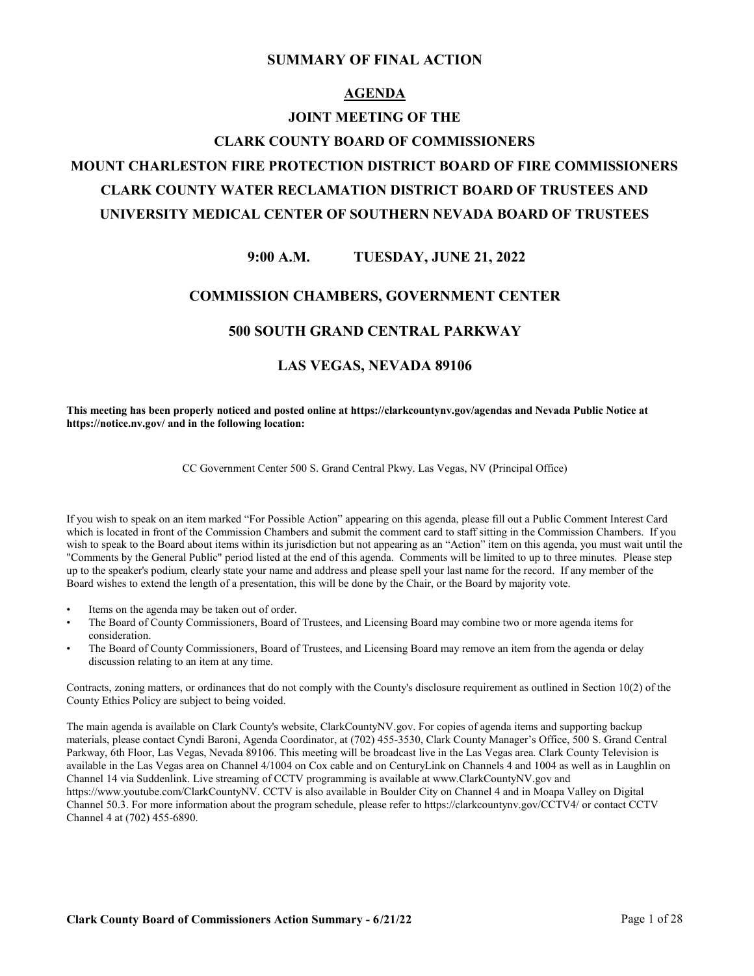#### **SUMMARY OF FINAL ACTION**

#### **AGENDA**

#### **JOINT MEETING OF THE**

#### **CLARK COUNTY BOARD OF COMMISSIONERS**

# **MOUNT CHARLESTON FIRE PROTECTION DISTRICT BOARD OF FIRE COMMISSIONERS CLARK COUNTY WATER RECLAMATION DISTRICT BOARD OF TRUSTEES AND UNIVERSITY MEDICAL CENTER OF SOUTHERN NEVADA BOARD OF TRUSTEES**

#### **9:00 A.M. TUESDAY, JUNE 21, 2022**

#### **COMMISSION CHAMBERS, GOVERNMENT CENTER**

#### **500 SOUTH GRAND CENTRAL PARKWAY**

## **LAS VEGAS, NEVADA 89106**

**This meeting has been properly noticed and posted online at https://clarkcountynv.gov/agendas and Nevada Public Notice at https://notice.nv.gov/ and in the following location:**

CC Government Center 500 S. Grand Central Pkwy. Las Vegas, NV (Principal Office)

If you wish to speak on an item marked "For Possible Action" appearing on this agenda, please fill out a Public Comment Interest Card which is located in front of the Commission Chambers and submit the comment card to staff sitting in the Commission Chambers. If you wish to speak to the Board about items within its jurisdiction but not appearing as an "Action" item on this agenda, you must wait until the "Comments by the General Public" period listed at the end of this agenda. Comments will be limited to up to three minutes. Please step up to the speaker's podium, clearly state your name and address and please spell your last name for the record. If any member of the Board wishes to extend the length of a presentation, this will be done by the Chair, or the Board by majority vote.

- Items on the agenda may be taken out of order.
- The Board of County Commissioners, Board of Trustees, and Licensing Board may combine two or more agenda items for consideration.
- The Board of County Commissioners, Board of Trustees, and Licensing Board may remove an item from the agenda or delay discussion relating to an item at any time.

Contracts, zoning matters, or ordinances that do not comply with the County's disclosure requirement as outlined in Section 10(2) of the County Ethics Policy are subject to being voided.

The main agenda is available on Clark County's website, ClarkCountyNV.gov. For copies of agenda items and supporting backup materials, please contact Cyndi Baroni, Agenda Coordinator, at (702) 455-3530, Clark County Manager's Office, 500 S. Grand Central Parkway, 6th Floor, Las Vegas, Nevada 89106. This meeting will be broadcast live in the Las Vegas area. Clark County Television is available in the Las Vegas area on Channel 4/1004 on Cox cable and on CenturyLink on Channels 4 and 1004 as well as in Laughlin on Channel 14 via Suddenlink. Live streaming of CCTV programming is available at www.ClarkCountyNV.gov and https://www.youtube.com/ClarkCountyNV. CCTV is also available in Boulder City on Channel 4 and in Moapa Valley on Digital Channel 50.3. For more information about the program schedule, please refer to https://clarkcountynv.gov/CCTV4/ or contact CCTV Channel 4 at (702) 455-6890.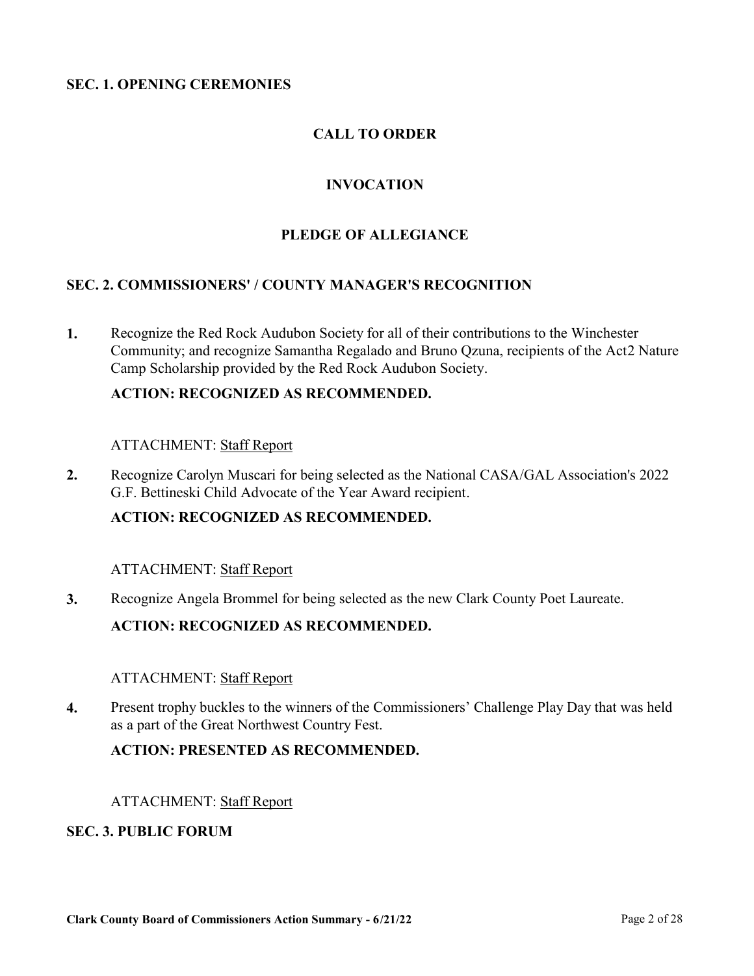#### **SEC. 1. OPENING CEREMONIES**

## **CALL TO ORDER**

## **INVOCATION**

#### **PLEDGE OF ALLEGIANCE**

#### **SEC. 2. COMMISSIONERS' / COUNTY MANAGER'S RECOGNITION**

Recognize the Red Rock Audubon Society for all of their contributions to the Winchester [Community; and recognize Samantha Regalado and Bruno Qzuna, recipients of the Act2 Nature](http://clark.legistar.com/gateway.aspx?m=l&id=/matter.aspx?key=9069)  Camp Scholarship provided by the Red Rock Audubon Society. **1.**

#### **ACTION: RECOGNIZED AS RECOMMENDED.**

#### ATTACHMENT: Staff Report

[Recognize Carolyn Muscari for being selected as the National CASA/GAL Association's 2022](http://clark.legistar.com/gateway.aspx?m=l&id=/matter.aspx?key=9070)  G.F. Bettineski Child Advocate of the Year Award recipient. **2.**

#### **ACTION: RECOGNIZED AS RECOMMENDED.**

#### ATTACHMENT: Staff Report

**3.** [Recognize Angela Brommel for being selected as the new Clark County Poet Laureate.](http://clark.legistar.com/gateway.aspx?m=l&id=/matter.aspx?key=9072)

#### **ACTION: RECOGNIZED AS RECOMMENDED.**

#### ATTACHMENT: Staff Report

[Present trophy buckles to the winners of the Commissioners' Challenge Play Day that was held](http://clark.legistar.com/gateway.aspx?m=l&id=/matter.aspx?key=9242)  as a part of the Great Northwest Country Fest. **4.**

#### **ACTION: PRESENTED AS RECOMMENDED.**

#### ATTACHMENT: Staff Report

#### **SEC. 3. PUBLIC FORUM**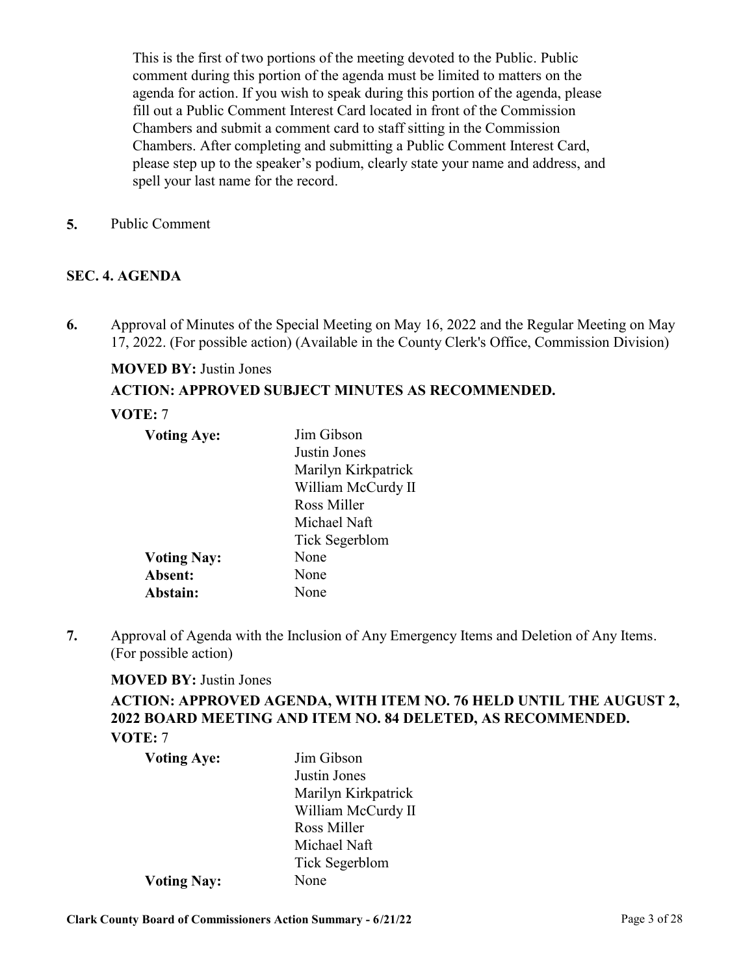This is the first of two portions of the meeting devoted to the Public. Public comment during this portion of the agenda must be limited to matters on the agenda for action. If you wish to speak during this portion of the agenda, please fill out a Public Comment Interest Card located in front of the Commission Chambers and submit a comment card to staff sitting in the Commission Chambers. After completing and submitting a Public Comment Interest Card, please step up to the speaker's podium, clearly state your name and address, and spell your last name for the record.

**5.** [Public Comment](http://clark.legistar.com/gateway.aspx?m=l&id=/matter.aspx?key=8820)

#### **SEC. 4. AGENDA**

[Approval of Minutes of the Special Meeting on May 16, 2022 and the Regular Meeting on May](http://clark.legistar.com/gateway.aspx?m=l&id=/matter.aspx?key=8818)  17, 2022. (For possible action) (Available in the County Clerk's Office, Commission Division) **6.**

## **MOVED BY:** Justin Jones **ACTION: APPROVED SUBJECT MINUTES AS RECOMMENDED.**

#### **VOTE:** 7

| <b>Voting Aye:</b> | Jim Gibson            |
|--------------------|-----------------------|
|                    | Justin Jones          |
|                    | Marilyn Kirkpatrick   |
|                    | William McCurdy II    |
|                    | Ross Miller           |
|                    | Michael Naft          |
|                    | <b>Tick Segerblom</b> |
| <b>Voting Nay:</b> | None                  |
| Absent:            | None                  |
| Abstain:           | None                  |

[Approval of Agenda with the Inclusion of Any Emergency Items and Deletion of Any Items.](http://clark.legistar.com/gateway.aspx?m=l&id=/matter.aspx?key=8819)  (For possible action) **7.**

#### **MOVED BY:** Justin Jones

**ACTION: APPROVED AGENDA, WITH ITEM NO. 76 HELD UNTIL THE AUGUST 2, 2022 BOARD MEETING AND ITEM NO. 84 DELETED, AS RECOMMENDED. VOTE:** 7

| <b>Voting Aye:</b> | Jim Gibson          |
|--------------------|---------------------|
|                    | Justin Jones        |
|                    | Marilyn Kirkpatrick |
|                    | William McCurdy II  |
|                    | Ross Miller         |
|                    | Michael Naft        |
|                    | Tick Segerblom      |
| <b>Voting Nay:</b> | None                |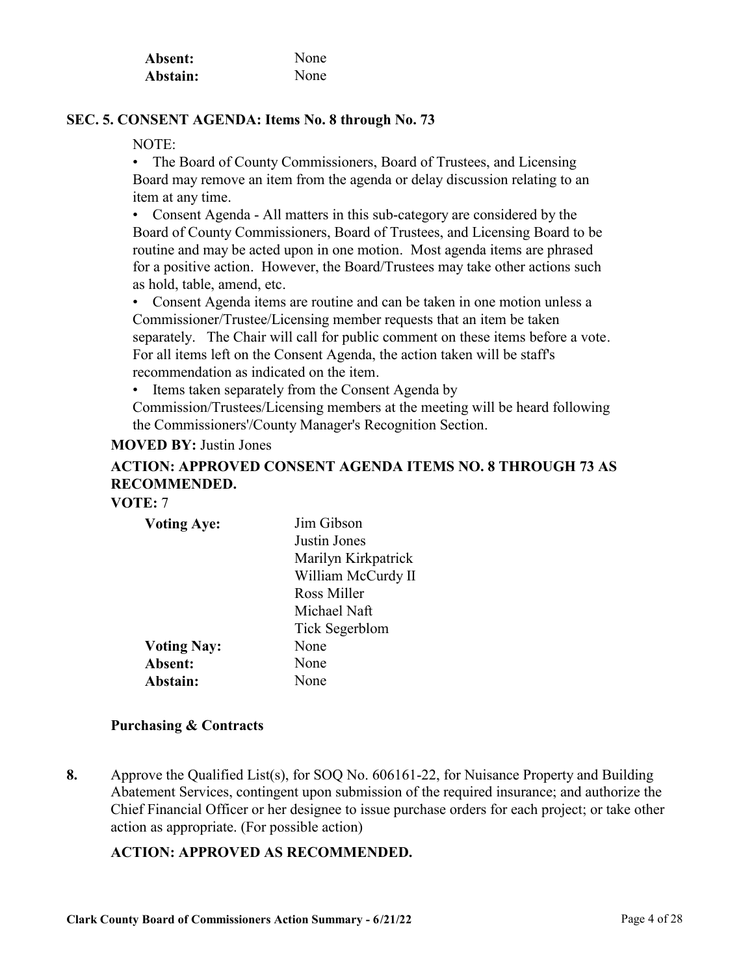| Absent:  | None |
|----------|------|
| Abstain: | None |

### **SEC. 5. CONSENT AGENDA: Items No. 8 through No. 73**

NOTE:

• The Board of County Commissioners, Board of Trustees, and Licensing Board may remove an item from the agenda or delay discussion relating to an item at any time.

• Consent Agenda - All matters in this sub-category are considered by the Board of County Commissioners, Board of Trustees, and Licensing Board to be routine and may be acted upon in one motion. Most agenda items are phrased for a positive action. However, the Board/Trustees may take other actions such as hold, table, amend, etc.

• Consent Agenda items are routine and can be taken in one motion unless a Commissioner/Trustee/Licensing member requests that an item be taken separately. The Chair will call for public comment on these items before a vote. For all items left on the Consent Agenda, the action taken will be staff's recommendation as indicated on the item.

• Items taken separately from the Consent Agenda by

Commission/Trustees/Licensing members at the meeting will be heard following the Commissioners'/County Manager's Recognition Section.

#### **MOVED BY:** Justin Jones

# **ACTION: APPROVED CONSENT AGENDA ITEMS NO. 8 THROUGH 73 AS RECOMMENDED.**

## **VOTE:** 7

| <b>Voting Aye:</b> | Jim Gibson          |
|--------------------|---------------------|
|                    | Justin Jones        |
|                    | Marilyn Kirkpatrick |
|                    | William McCurdy II  |
|                    | Ross Miller         |
|                    | Michael Naft        |
|                    | Tick Segerblom      |
| <b>Voting Nay:</b> | None                |
| Absent:            | None                |
| Abstain:           | None                |

#### **Purchasing & Contracts**

Approve the Qualified List(s), for SOQ No. 606161-22, for Nuisance Property and Building Abatement Services, contingent upon submission of the required insurance; and authorize the [Chief Financial Officer or her designee to issue purchase orders for each project; or take other](http://clark.legistar.com/gateway.aspx?m=l&id=/matter.aspx?key=8684)  action as appropriate. (For possible action) **8.**

#### **ACTION: APPROVED AS RECOMMENDED.**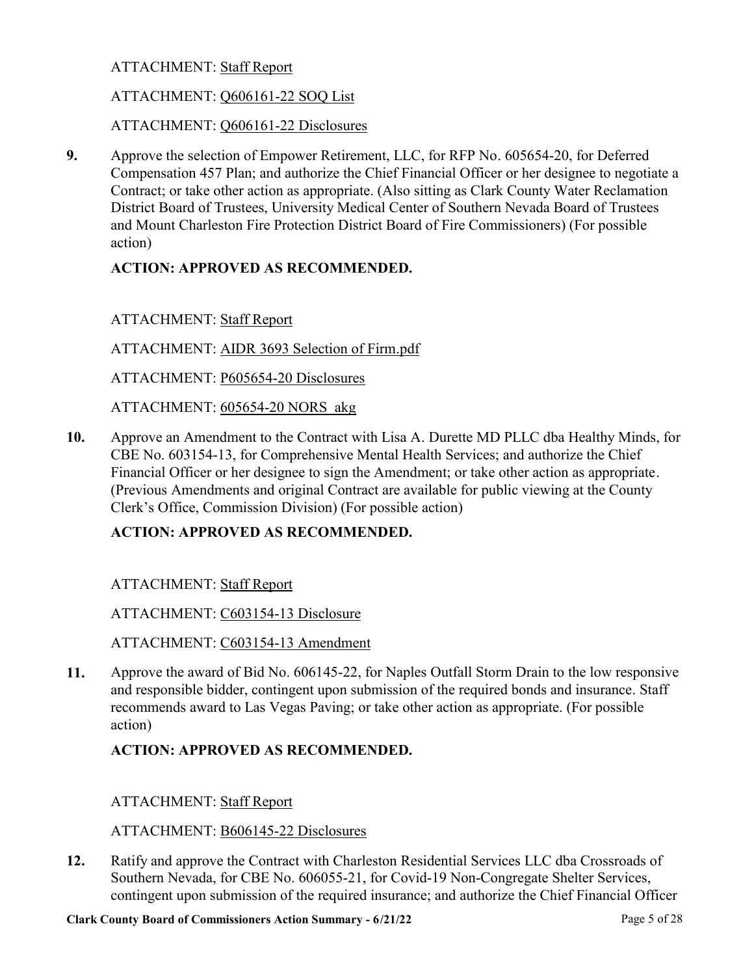## ATTACHMENT: Staff Report

## ATTACHMENT: Q606161-22 SOQ List

ATTACHMENT: Q606161-22 Disclosures

Approve the selection of Empower Retirement, LLC, for RFP No. 605654-20, for Deferred [Compensation 457 Plan; and authorize the Chief Financial Officer or her designee to negotiate a](http://clark.legistar.com/gateway.aspx?m=l&id=/matter.aspx?key=8844)  Contract; or take other action as appropriate. (Also sitting as Clark County Water Reclamation District Board of Trustees, University Medical Center of Southern Nevada Board of Trustees and Mount Charleston Fire Protection District Board of Fire Commissioners) (For possible action) **9.**

## **ACTION: APPROVED AS RECOMMENDED.**

ATTACHMENT: Staff Report

ATTACHMENT: AIDR 3693 Selection of Firm.pdf

ATTACHMENT: P605654-20 Disclosures

ATTACHMENT: 605654-20 NORS\_akg

[Approve an Amendment to the Contract with Lisa A. Durette MD PLLC dba Healthy Minds, for](http://clark.legistar.com/gateway.aspx?m=l&id=/matter.aspx?key=8845)  CBE No. 603154-13, for Comprehensive Mental Health Services; and authorize the Chief Financial Officer or her designee to sign the Amendment; or take other action as appropriate. (Previous Amendments and original Contract are available for public viewing at the County Clerk's Office, Commission Division) (For possible action) **10.**

## **ACTION: APPROVED AS RECOMMENDED.**

ATTACHMENT: Staff Report

ATTACHMENT: C603154-13 Disclosure

ATTACHMENT: C603154-13 Amendment

[Approve the award of Bid No. 606145-22, for Naples Outfall Storm Drain to the low responsive](http://clark.legistar.com/gateway.aspx?m=l&id=/matter.aspx?key=8846)  and responsible bidder, contingent upon submission of the required bonds and insurance. Staff recommends award to Las Vegas Paving; or take other action as appropriate. (For possible action) **11.**

## **ACTION: APPROVED AS RECOMMENDED.**

## ATTACHMENT: Staff Report

ATTACHMENT: B606145-22 Disclosures

Ratify and approve the Contract with Charleston Residential Services LLC dba Crossroads of Southern Nevada, for CBE No. 606055-21, for Covid-19 Non-Congregate Shelter Services, [contingent upon submission of the required insurance; and authorize the Chief Financial Officer](http://clark.legistar.com/gateway.aspx?m=l&id=/matter.aspx?key=8847)  **12.**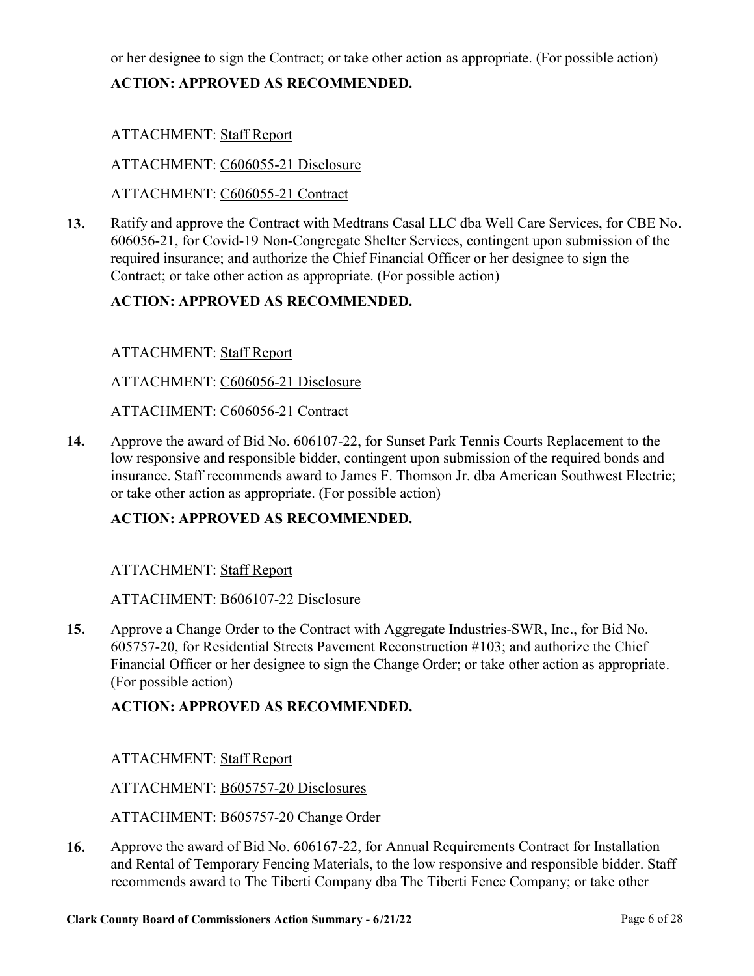[or her designee to sign the Contract; or take other action as appropriate. \(For possible action\)](http://clark.legistar.com/gateway.aspx?m=l&id=/matter.aspx?key=8847)

## **ACTION: APPROVED AS RECOMMENDED.**

## ATTACHMENT: Staff Report

ATTACHMENT: C606055-21 Disclosure

ATTACHMENT: C606055-21 Contract

[Ratify and approve the Contract with Medtrans Casal LLC dba Well Care Services, for CBE No.](http://clark.legistar.com/gateway.aspx?m=l&id=/matter.aspx?key=8848)  606056-21, for Covid-19 Non-Congregate Shelter Services, contingent upon submission of the required insurance; and authorize the Chief Financial Officer or her designee to sign the Contract; or take other action as appropriate. (For possible action) **13.**

## **ACTION: APPROVED AS RECOMMENDED.**

## ATTACHMENT: Staff Report

ATTACHMENT: C606056-21 Disclosure

ATTACHMENT: C606056-21 Contract

Approve the award of Bid No. 606107-22, for Sunset Park Tennis Courts Replacement to the low responsive and responsible bidder, contingent upon submission of the required bonds and [insurance. Staff recommends award to James F. Thomson Jr. dba American Southwest Electric;](http://clark.legistar.com/gateway.aspx?m=l&id=/matter.aspx?key=8849)  or take other action as appropriate. (For possible action) **14.**

## **ACTION: APPROVED AS RECOMMENDED.**

#### ATTACHMENT: Staff Report

#### ATTACHMENT: B606107-22 Disclosure

Approve a Change Order to the Contract with Aggregate Industries-SWR, Inc., for Bid No. 605757-20, for Residential Streets Pavement Reconstruction #103; and authorize the Chief [Financial Officer or her designee to sign the Change Order; or take other action as appropriate.](http://clark.legistar.com/gateway.aspx?m=l&id=/matter.aspx?key=8861)  (For possible action) **15.**

## **ACTION: APPROVED AS RECOMMENDED.**

## ATTACHMENT: Staff Report

#### ATTACHMENT: B605757-20 Disclosures

ATTACHMENT: B605757-20 Change Order

Approve the award of Bid No. 606167-22, for Annual Requirements Contract for Installation [and Rental of Temporary Fencing Materials, to the low responsive and responsible bidder. Staff](http://clark.legistar.com/gateway.aspx?m=l&id=/matter.aspx?key=8862)  recommends award to The Tiberti Company dba The Tiberti Fence Company; or take other **16.**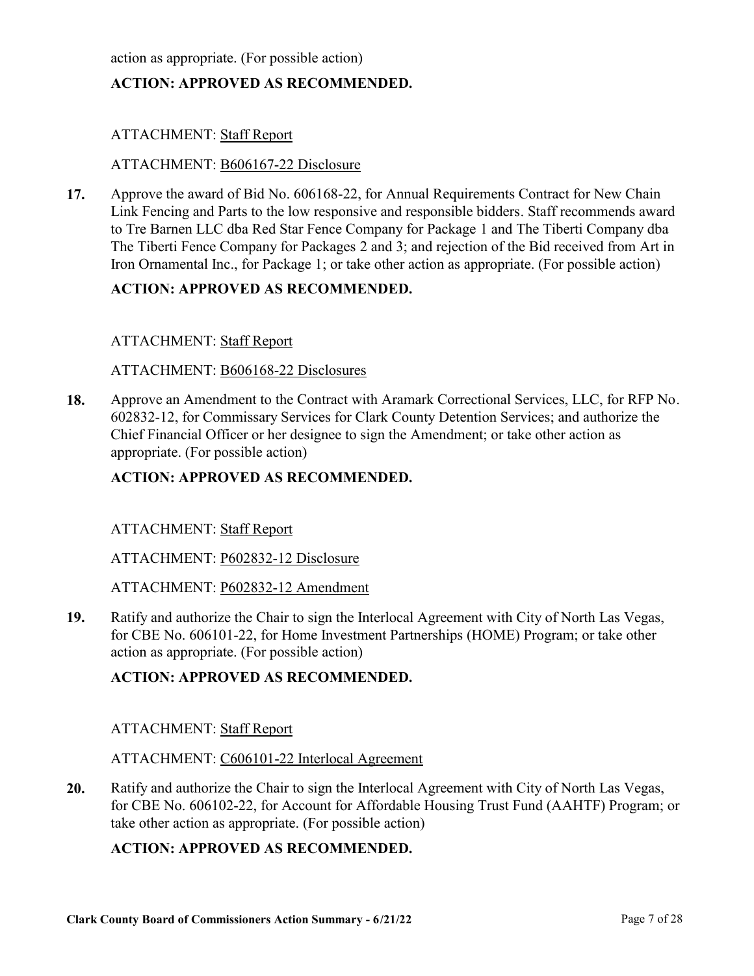[action as appropriate. \(For possible action\)](http://clark.legistar.com/gateway.aspx?m=l&id=/matter.aspx?key=8862)

## **ACTION: APPROVED AS RECOMMENDED.**

## ATTACHMENT: Staff Report

#### ATTACHMENT: B606167-22 Disclosure

Approve the award of Bid No. 606168-22, for Annual Requirements Contract for New Chain [Link Fencing and Parts to the low responsive and responsible bidders. Staff recommends award](http://clark.legistar.com/gateway.aspx?m=l&id=/matter.aspx?key=8863)  to Tre Barnen LLC dba Red Star Fence Company for Package 1 and The Tiberti Company dba The Tiberti Fence Company for Packages 2 and 3; and rejection of the Bid received from Art in Iron Ornamental Inc., for Package 1; or take other action as appropriate. (For possible action) **17.**

#### **ACTION: APPROVED AS RECOMMENDED.**

#### ATTACHMENT: Staff Report

#### ATTACHMENT: B606168-22 Disclosures

[Approve an Amendment to the Contract with Aramark Correctional Services, LLC, for RFP No.](http://clark.legistar.com/gateway.aspx?m=l&id=/matter.aspx?key=8864)  602832-12, for Commissary Services for Clark County Detention Services; and authorize the Chief Financial Officer or her designee to sign the Amendment; or take other action as appropriate. (For possible action) **18.**

#### **ACTION: APPROVED AS RECOMMENDED.**

#### ATTACHMENT: Staff Report

ATTACHMENT: P602832-12 Disclosure

ATTACHMENT: P602832-12 Amendment

[Ratify and authorize the Chair to sign the Interlocal Agreement with City of North Las Vegas,](http://clark.legistar.com/gateway.aspx?m=l&id=/matter.aspx?key=8865)  for CBE No. 606101-22, for Home Investment Partnerships (HOME) Program; or take other action as appropriate. (For possible action) **19.**

#### **ACTION: APPROVED AS RECOMMENDED.**

#### ATTACHMENT: Staff Report

#### ATTACHMENT: C606101-22 Interlocal Agreement

Ratify and authorize the Chair to sign the Interlocal Agreement with City of North Las Vegas, [for CBE No. 606102-22, for Account for Affordable Housing Trust Fund \(AAHTF\) Program; or](http://clark.legistar.com/gateway.aspx?m=l&id=/matter.aspx?key=8866)  take other action as appropriate. (For possible action) **20.**

#### **ACTION: APPROVED AS RECOMMENDED.**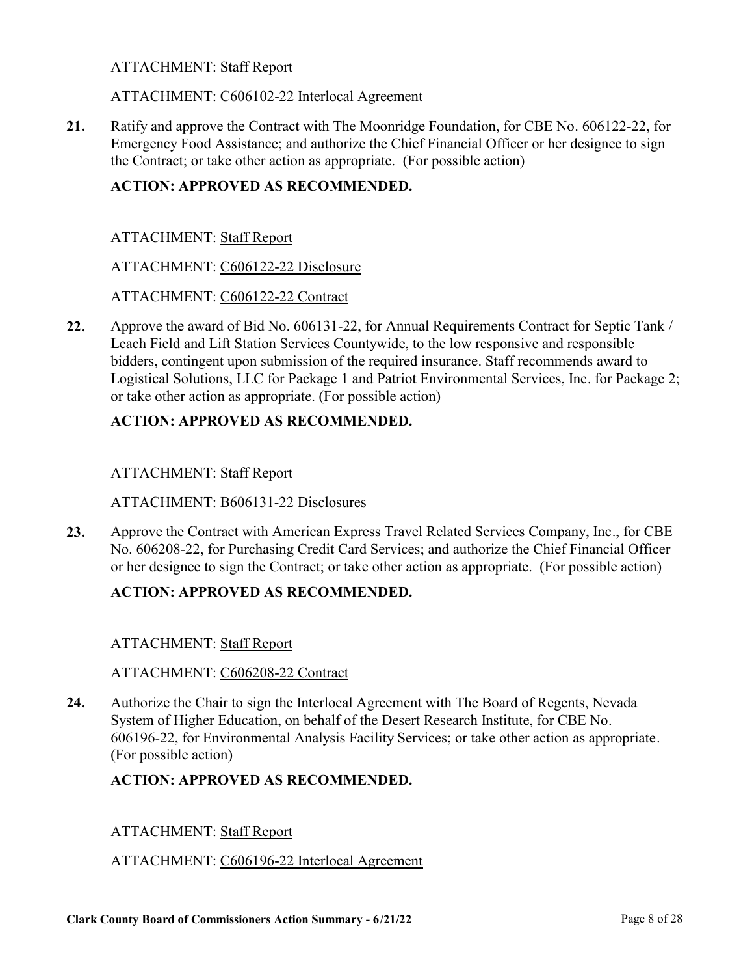#### ATTACHMENT: Staff Report

#### ATTACHMENT: C606102-22 Interlocal Agreement

[Ratify and approve the Contract with The Moonridge Foundation, for CBE No. 606122-22, for](http://clark.legistar.com/gateway.aspx?m=l&id=/matter.aspx?key=8867)  Emergency Food Assistance; and authorize the Chief Financial Officer or her designee to sign the Contract; or take other action as appropriate. (For possible action) **21.**

## **ACTION: APPROVED AS RECOMMENDED.**

ATTACHMENT: Staff Report

ATTACHMENT: C606122-22 Disclosure

ATTACHMENT: C606122-22 Contract

Approve the award of Bid No. 606131-22, for Annual Requirements Contract for Septic Tank / Leach Field and Lift Station Services Countywide, to the low responsive and responsible bidders, contingent upon submission of the required insurance. Staff recommends award to [Logistical Solutions, LLC for Package 1 and Patriot Environmental Services, Inc. for Package 2;](http://clark.legistar.com/gateway.aspx?m=l&id=/matter.aspx?key=8868)  or take other action as appropriate. (For possible action) **22.**

## **ACTION: APPROVED AS RECOMMENDED.**

#### ATTACHMENT: Staff Report

#### ATTACHMENT: B606131-22 Disclosures

[Approve the Contract with American Express Travel Related Services Company, Inc., for CBE](http://clark.legistar.com/gateway.aspx?m=l&id=/matter.aspx?key=8869)  No. 606208-22, for Purchasing Credit Card Services; and authorize the Chief Financial Officer or her designee to sign the Contract; or take other action as appropriate. (For possible action) **23.**

## **ACTION: APPROVED AS RECOMMENDED.**

#### ATTACHMENT: Staff Report

#### ATTACHMENT: C606208-22 Contract

Authorize the Chair to sign the Interlocal Agreement with The Board of Regents, Nevada System of Higher Education, on behalf of the Desert Research Institute, for CBE No. [606196-22, for Environmental Analysis Facility Services; or take other action as appropriate.](http://clark.legistar.com/gateway.aspx?m=l&id=/matter.aspx?key=8985)  (For possible action) **24.**

#### **ACTION: APPROVED AS RECOMMENDED.**

#### ATTACHMENT: Staff Report

#### ATTACHMENT: C606196-22 Interlocal Agreement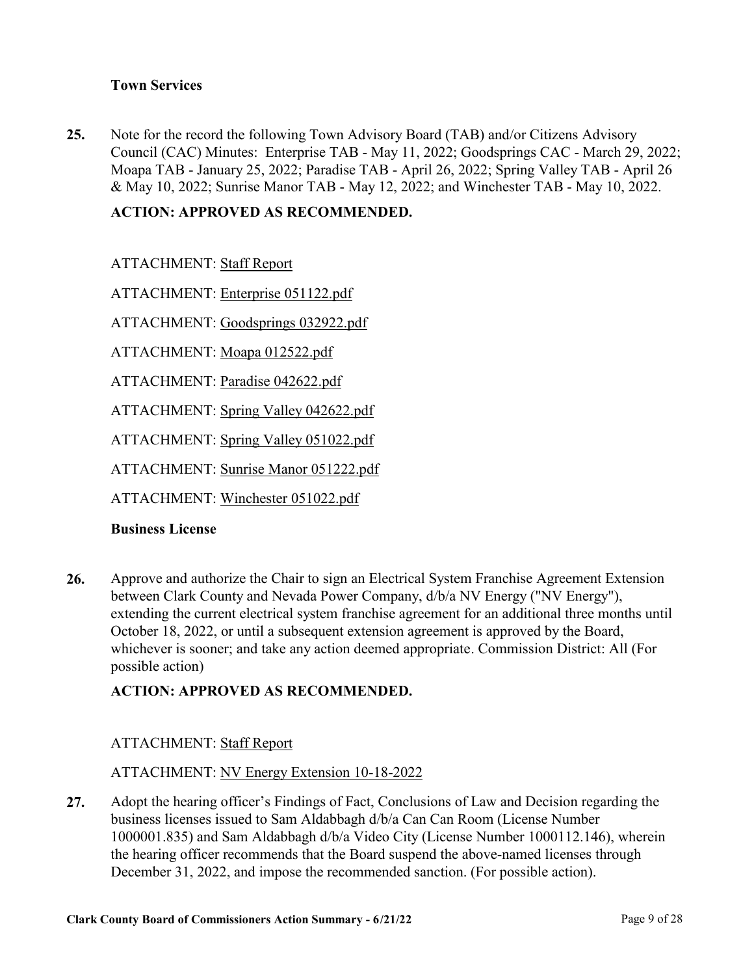## **Town Services**

Note for the record the following Town Advisory Board (TAB) and/or Citizens Advisory [Council \(CAC\) Minutes: Enterprise TAB - May 11, 2022; Goodsprings CAC - March 29, 2022;](http://clark.legistar.com/gateway.aspx?m=l&id=/matter.aspx?key=9157)  Moapa TAB - January 25, 2022; Paradise TAB - April 26, 2022; Spring Valley TAB - April 26 & May 10, 2022; Sunrise Manor TAB - May 12, 2022; and Winchester TAB - May 10, 2022. **25.**

## **ACTION: APPROVED AS RECOMMENDED.**

ATTACHMENT: Staff Report

ATTACHMENT: Enterprise 051122.pdf

ATTACHMENT: Goodsprings 032922.pdf

ATTACHMENT: Moapa 012522.pdf

ATTACHMENT: Paradise 042622.pdf

ATTACHMENT: Spring Valley 042622.pdf

ATTACHMENT: Spring Valley 051022.pdf

ATTACHMENT: Sunrise Manor 051222.pdf

ATTACHMENT: Winchester 051022.pdf

#### **Business License**

Approve and authorize the Chair to sign an Electrical System Franchise Agreement Extension between Clark County and Nevada Power Company, d/b/a NV Energy ("NV Energy"), [extending the current electrical system franchise agreement for an additional three months until](http://clark.legistar.com/gateway.aspx?m=l&id=/matter.aspx?key=9088)  October 18, 2022, or until a subsequent extension agreement is approved by the Board, whichever is sooner; and take any action deemed appropriate. Commission District: All (For possible action) **26.**

## **ACTION: APPROVED AS RECOMMENDED.**

## ATTACHMENT: Staff Report

ATTACHMENT: NV Energy Extension 10-18-2022

Adopt the hearing officer's Findings of Fact, Conclusions of Law and Decision regarding the business licenses issued to Sam Aldabbagh d/b/a Can Can Room (License Number [1000001.835\) and Sam Aldabbagh d/b/a Video City \(License Number 1000112.146\), wherein](http://clark.legistar.com/gateway.aspx?m=l&id=/matter.aspx?key=9093)  the hearing officer recommends that the Board suspend the above-named licenses through December 31, 2022, and impose the recommended sanction. (For possible action). **27.**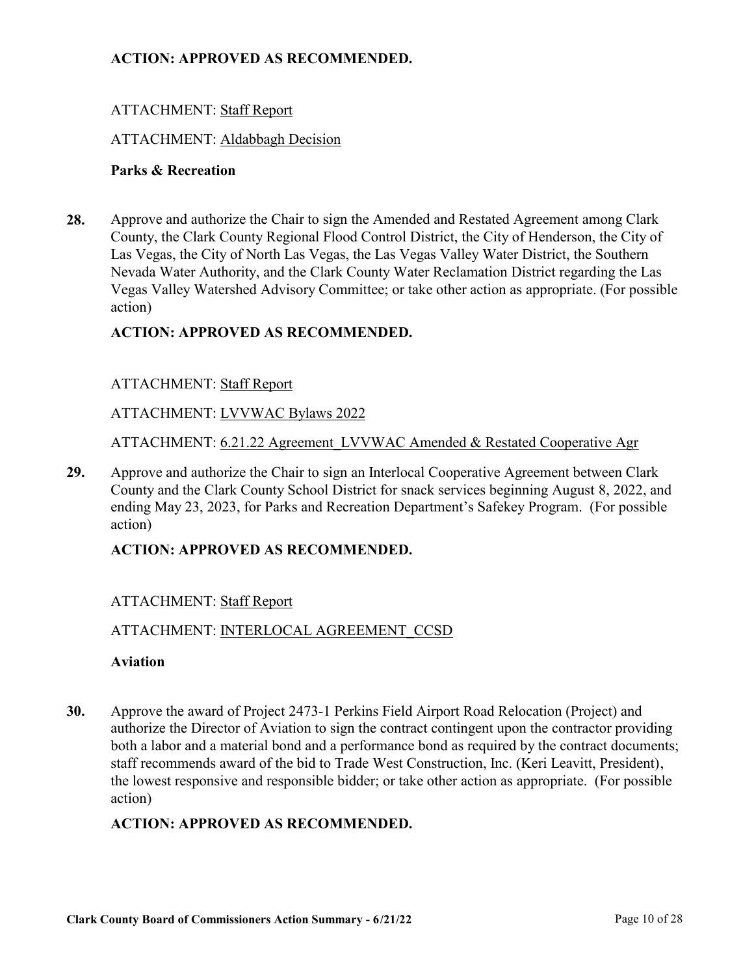## **ACTION: APPROVED AS RECOMMENDED.**

## ATTACHMENT: Staff Report

#### ATTACHMENT: Aldabbagh Decision

#### **Parks & Recreation**

Approve and authorize the Chair to sign the Amended and Restated Agreement among Clark County, the Clark County Regional Flood Control District, the City of Henderson, the City of Las Vegas, the City of North Las Vegas, the Las Vegas Valley Water District, the Southern Nevada Water Authority, and the Clark County Water Reclamation District regarding the Las [Vegas Valley Watershed Advisory Committee; or take other action as appropriate. \(For possible](http://clark.legistar.com/gateway.aspx?m=l&id=/matter.aspx?key=9034)  action) **28.**

#### **ACTION: APPROVED AS RECOMMENDED.**

#### ATTACHMENT: Staff Report

ATTACHMENT: LVVWAC Bylaws 2022

ATTACHMENT: 6.21.22 Agreement\_LVVWAC Amended & Restated Cooperative Agr

Approve and authorize the Chair to sign an Interlocal Cooperative Agreement between Clark [County and the Clark County School District for snack services beginning August 8, 2022, and](http://clark.legistar.com/gateway.aspx?m=l&id=/matter.aspx?key=9035)  ending May 23, 2023, for Parks and Recreation Department's Safekey Program. (For possible action) **29.**

#### **ACTION: APPROVED AS RECOMMENDED.**

#### ATTACHMENT: Staff Report

#### ATTACHMENT: INTERLOCAL AGREEMENT\_CCSD

#### **Aviation**

Approve the award of Project 2473-1 Perkins Field Airport Road Relocation (Project) and authorize the Director of Aviation to sign the contract contingent upon the contractor providing [both a labor and a material bond and a performance bond as required by the contract documents;](http://clark.legistar.com/gateway.aspx?m=l&id=/matter.aspx?key=9057)  staff recommends award of the bid to Trade West Construction, Inc. (Keri Leavitt, President), the lowest responsive and responsible bidder; or take other action as appropriate. (For possible action) **30.**

#### **ACTION: APPROVED AS RECOMMENDED.**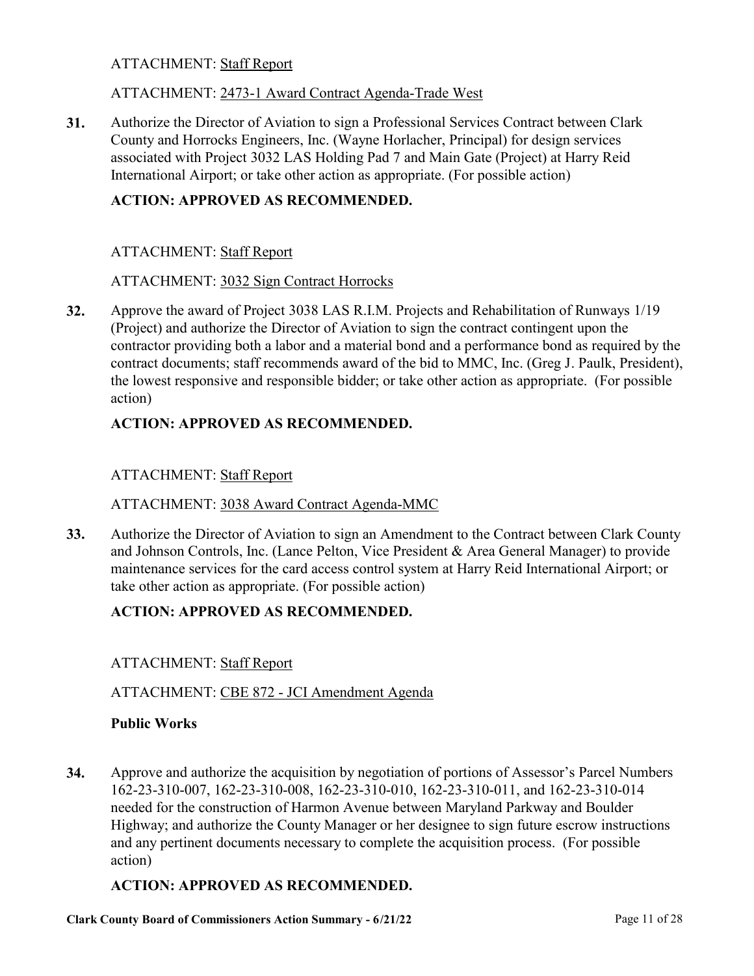## ATTACHMENT: Staff Report

## ATTACHMENT: 2473-1 Award Contract Agenda-Trade West

[Authorize the Director of Aviation to sign a Professional Services Contract between Clark](http://clark.legistar.com/gateway.aspx?m=l&id=/matter.aspx?key=9059)  County and Horrocks Engineers, Inc. (Wayne Horlacher, Principal) for design services associated with Project 3032 LAS Holding Pad 7 and Main Gate (Project) at Harry Reid International Airport; or take other action as appropriate. (For possible action) **31.**

## **ACTION: APPROVED AS RECOMMENDED.**

#### ATTACHMENT: Staff Report

#### ATTACHMENT: 3032 Sign Contract Horrocks

Approve the award of Project 3038 LAS R.I.M. Projects and Rehabilitation of Runways 1/19 (Project) and authorize the Director of Aviation to sign the contract contingent upon the [contractor providing both a labor and a material bond and a performance bond as required by the](http://clark.legistar.com/gateway.aspx?m=l&id=/matter.aspx?key=9060)  contract documents; staff recommends award of the bid to MMC, Inc. (Greg J. Paulk, President), the lowest responsive and responsible bidder; or take other action as appropriate. (For possible action) **32.**

## **ACTION: APPROVED AS RECOMMENDED.**

## ATTACHMENT: Staff Report

#### ATTACHMENT: 3038 Award Contract Agenda-MMC

[Authorize the Director of Aviation to sign an Amendment to the Contract between Clark County](http://clark.legistar.com/gateway.aspx?m=l&id=/matter.aspx?key=9061)  and Johnson Controls, Inc. (Lance Pelton, Vice President & Area General Manager) to provide maintenance services for the card access control system at Harry Reid International Airport; or take other action as appropriate. (For possible action) **33.**

## **ACTION: APPROVED AS RECOMMENDED.**

#### ATTACHMENT: Staff Report

#### ATTACHMENT: CBE 872 - JCI Amendment Agenda

#### **Public Works**

[Approve and authorize the acquisition by negotiation of portions of Assessor's Parcel Numbers](http://clark.legistar.com/gateway.aspx?m=l&id=/matter.aspx?key=9037)  162-23-310-007, 162-23-310-008, 162-23-310-010, 162-23-310-011, and 162-23-310-014 needed for the construction of Harmon Avenue between Maryland Parkway and Boulder Highway; and authorize the County Manager or her designee to sign future escrow instructions and any pertinent documents necessary to complete the acquisition process. (For possible action) **34.**

#### **ACTION: APPROVED AS RECOMMENDED.**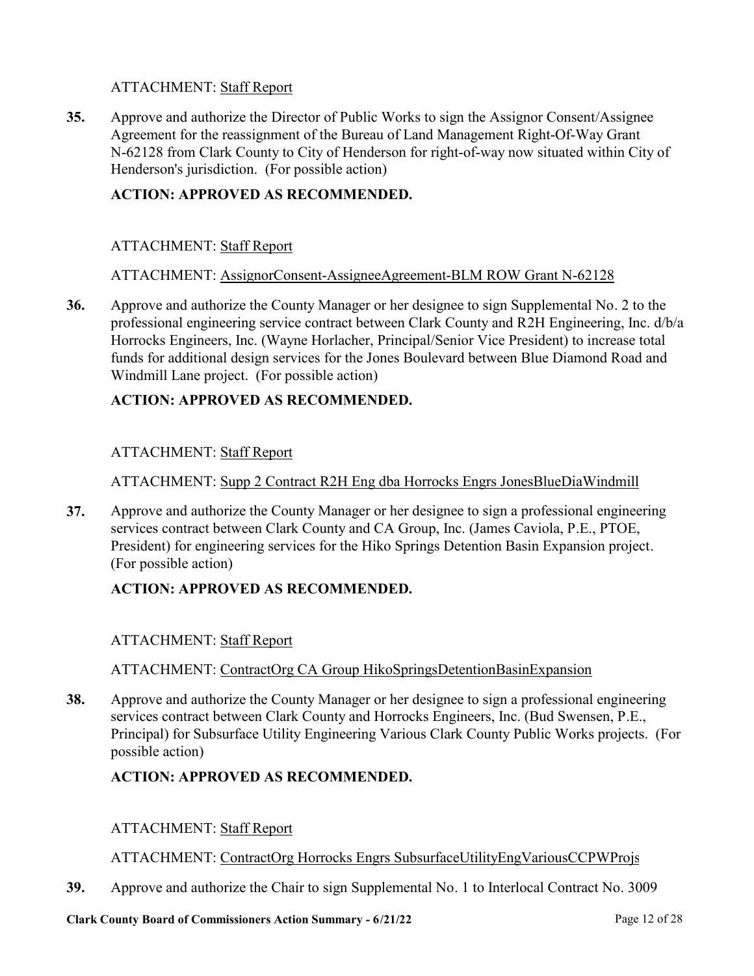## ATTACHMENT: Staff Report

Approve and authorize the Director of Public Works to sign the Assignor Consent/Assignee Agreement for the reassignment of the Bureau of Land Management Right-Of-Way Grant [N-62128 from Clark County to City of Henderson for right-of-way now situated within City of](http://clark.legistar.com/gateway.aspx?m=l&id=/matter.aspx?key=9038)  Henderson's jurisdiction. (For possible action) **35.**

## **ACTION: APPROVED AS RECOMMENDED.**

## ATTACHMENT: Staff Report

#### ATTACHMENT: AssignorConsent-AssigneeAgreement-BLM ROW Grant N-62128

Approve and authorize the County Manager or her designee to sign Supplemental No. 2 to the [professional engineering service contract between Clark County and R2H Engineering, Inc. d/b/a](http://clark.legistar.com/gateway.aspx?m=l&id=/matter.aspx?key=9040) Horrocks Engineers, Inc. (Wayne Horlacher, Principal/Senior Vice President) to increase total funds for additional design services for the Jones Boulevard between Blue Diamond Road and Windmill Lane project. (For possible action) **36.**

## **ACTION: APPROVED AS RECOMMENDED.**

## ATTACHMENT: Staff Report

ATTACHMENT: Supp 2 Contract R2H Eng dba Horrocks Engrs JonesBlueDiaWindmill

[Approve and authorize the County Manager or her designee to sign a professional engineering](http://clark.legistar.com/gateway.aspx?m=l&id=/matter.aspx?key=9041)  services contract between Clark County and CA Group, Inc. (James Caviola, P.E., PTOE, President) for engineering services for the Hiko Springs Detention Basin Expansion project. (For possible action) **37.**

## **ACTION: APPROVED AS RECOMMENDED.**

## ATTACHMENT: Staff Report

#### ATTACHMENT: ContractOrg CA Group HikoSpringsDetentionBasinExpansion

Approve and authorize the County Manager or her designee to sign a professional engineering services contract between Clark County and Horrocks Engineers, Inc. (Bud Swensen, P.E., [Principal\) for Subsurface Utility Engineering Various Clark County Public Works projects. \(For](http://clark.legistar.com/gateway.aspx?m=l&id=/matter.aspx?key=9042)  possible action) **38.**

## **ACTION: APPROVED AS RECOMMENDED.**

#### ATTACHMENT: Staff Report

#### ATTACHMENT: ContractOrg Horrocks Engrs SubsurfaceUtilityEngVariousCCPWProjs

**39.** [Approve and authorize the Chair to sign Supplemental No. 1 to Interlocal Contract No. 3009](http://clark.legistar.com/gateway.aspx?m=l&id=/matter.aspx?key=9043) 

#### **Clark County Board of Commissioners Action Summary - 6/21/22** Page 12 of 28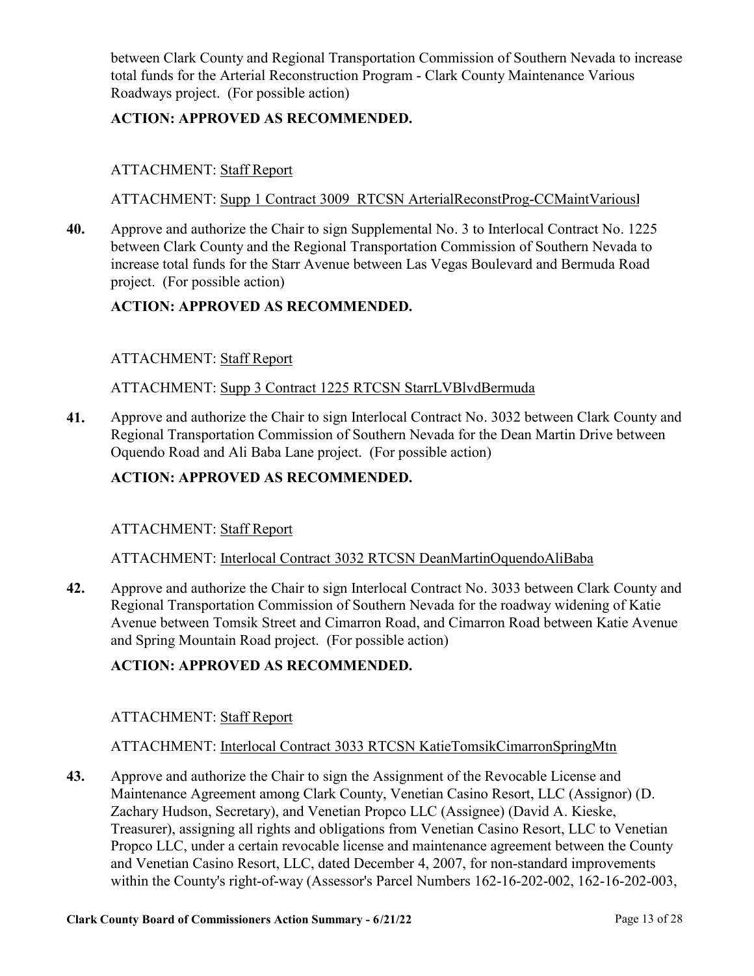[between Clark County and Regional Transportation Commission of Southern Nevada to increase](http://clark.legistar.com/gateway.aspx?m=l&id=/matter.aspx?key=9043)  total funds for the Arterial Reconstruction Program - Clark County Maintenance Various Roadways project. (For possible action)

## **ACTION: APPROVED AS RECOMMENDED.**

## ATTACHMENT: Staff Report

ATTACHMENT: Supp 1 Contract 3009 RTCSN ArterialReconstProg-CCMaintVarious

[Approve and authorize the Chair to sign Supplemental No. 3 to Interlocal Contract No. 1225](http://clark.legistar.com/gateway.aspx?m=l&id=/matter.aspx?key=9044)  between Clark County and the Regional Transportation Commission of Southern Nevada to increase total funds for the Starr Avenue between Las Vegas Boulevard and Bermuda Road project. (For possible action) **40.**

## **ACTION: APPROVED AS RECOMMENDED.**

## ATTACHMENT: Staff Report

ATTACHMENT: Supp 3 Contract 1225 RTCSN StarrLVBlvdBermuda

[Approve and authorize the Chair to sign Interlocal Contract No. 3032 between Clark County and](http://clark.legistar.com/gateway.aspx?m=l&id=/matter.aspx?key=9045)  Regional Transportation Commission of Southern Nevada for the Dean Martin Drive between Oquendo Road and Ali Baba Lane project. (For possible action) **41.**

## **ACTION: APPROVED AS RECOMMENDED.**

## ATTACHMENT: Staff Report

ATTACHMENT: Interlocal Contract 3032 RTCSN DeanMartinOquendoAliBaba

[Approve and authorize the Chair to sign Interlocal Contract No. 3033 between Clark County and](http://clark.legistar.com/gateway.aspx?m=l&id=/matter.aspx?key=9046)  Regional Transportation Commission of Southern Nevada for the roadway widening of Katie Avenue between Tomsik Street and Cimarron Road, and Cimarron Road between Katie Avenue and Spring Mountain Road project. (For possible action) **42.**

## **ACTION: APPROVED AS RECOMMENDED.**

## ATTACHMENT: Staff Report

## ATTACHMENT: Interlocal Contract 3033 RTCSN KatieTomsikCimarronSpringMtn

Approve and authorize the Chair to sign the Assignment of the Revocable License and Maintenance Agreement among Clark County, Venetian Casino Resort, LLC (Assignor) (D. Zachary Hudson, Secretary), and Venetian Propco LLC (Assignee) (David A. Kieske, Treasurer), assigning all rights and obligations from Venetian Casino Resort, LLC to Venetian Propco LLC, under a certain revocable license and maintenance agreement between the County and Venetian Casino Resort, LLC, dated December 4, 2007, for non-standard improvements [within the County's right-of-way \(Assessor's Parcel Numbers 162-16-202-002, 162-16-202-003,](http://clark.legistar.com/gateway.aspx?m=l&id=/matter.aspx?key=9047)  **43.**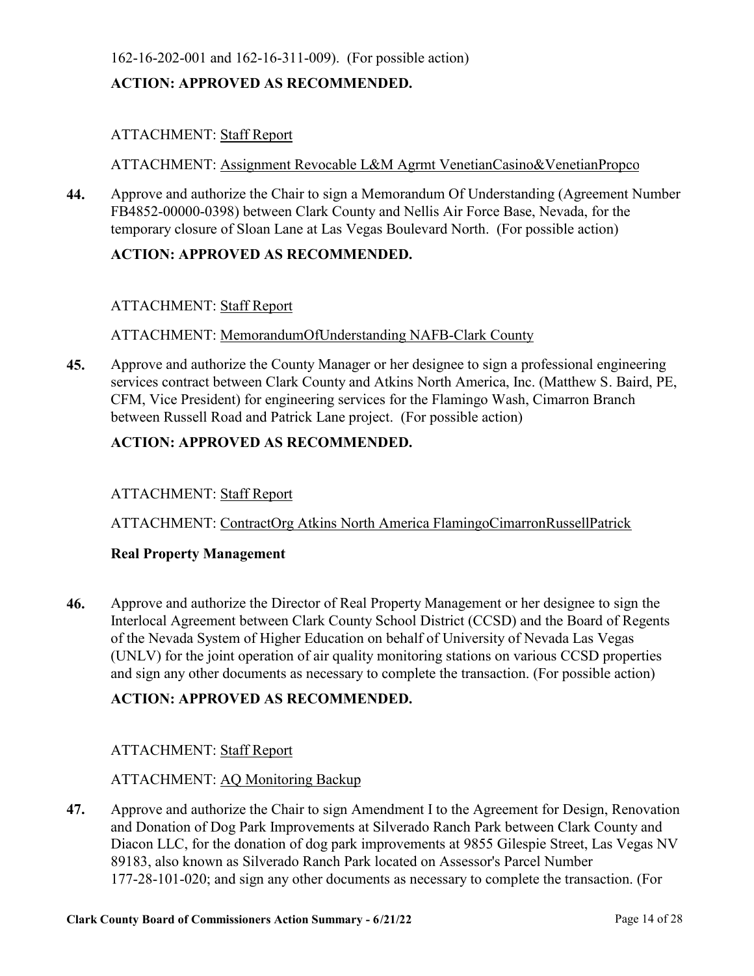## [162-16-202-001 and 162-16-311-009\). \(For possible action\)](http://clark.legistar.com/gateway.aspx?m=l&id=/matter.aspx?key=9047)

## **ACTION: APPROVED AS RECOMMENDED.**

## ATTACHMENT: Staff Report

ATTACHMENT: Assignment Revocable L&M Agrmt VenetianCasino&VenetianPropco

[Approve and authorize the Chair to sign a Memorandum Of Understanding \(Agreement Number](http://clark.legistar.com/gateway.aspx?m=l&id=/matter.aspx?key=9048)  FB4852-00000-0398) between Clark County and Nellis Air Force Base, Nevada, for the temporary closure of Sloan Lane at Las Vegas Boulevard North. (For possible action) **44.**

## **ACTION: APPROVED AS RECOMMENDED.**

## ATTACHMENT: Staff Report

#### ATTACHMENT: MemorandumOfUnderstanding NAFB-Clark County

Approve and authorize the County Manager or her designee to sign a professional engineering [services contract between Clark County and Atkins North America, Inc. \(Matthew S. Baird, PE,](http://clark.legistar.com/gateway.aspx?m=l&id=/matter.aspx?key=9084)  CFM, Vice President) for engineering services for the Flamingo Wash, Cimarron Branch between Russell Road and Patrick Lane project. (For possible action) **45.**

## **ACTION: APPROVED AS RECOMMENDED.**

#### ATTACHMENT: Staff Report

ATTACHMENT: ContractOrg Atkins North America FlamingoCimarronRussellPatrick

#### **Real Property Management**

Approve and authorize the Director of Real Property Management or her designee to sign the [Interlocal Agreement between Clark County School District \(CCSD\) and the Board of Regents](http://clark.legistar.com/gateway.aspx?m=l&id=/matter.aspx?key=9071)  of the Nevada System of Higher Education on behalf of University of Nevada Las Vegas (UNLV) for the joint operation of air quality monitoring stations on various CCSD properties and sign any other documents as necessary to complete the transaction. (For possible action) **46.**

#### **ACTION: APPROVED AS RECOMMENDED.**

#### ATTACHMENT: Staff Report

#### ATTACHMENT: AQ Monitoring Backup

[Approve and authorize the Chair to sign Amendment I to the Agreement for Design, Renovation](http://clark.legistar.com/gateway.aspx?m=l&id=/matter.aspx?key=9073)  and Donation of Dog Park Improvements at Silverado Ranch Park between Clark County and Diacon LLC, for the donation of dog park improvements at 9855 Gilespie Street, Las Vegas NV 89183, also known as Silverado Ranch Park located on Assessor's Parcel Number 177-28-101-020; and sign any other documents as necessary to complete the transaction. (For **47.**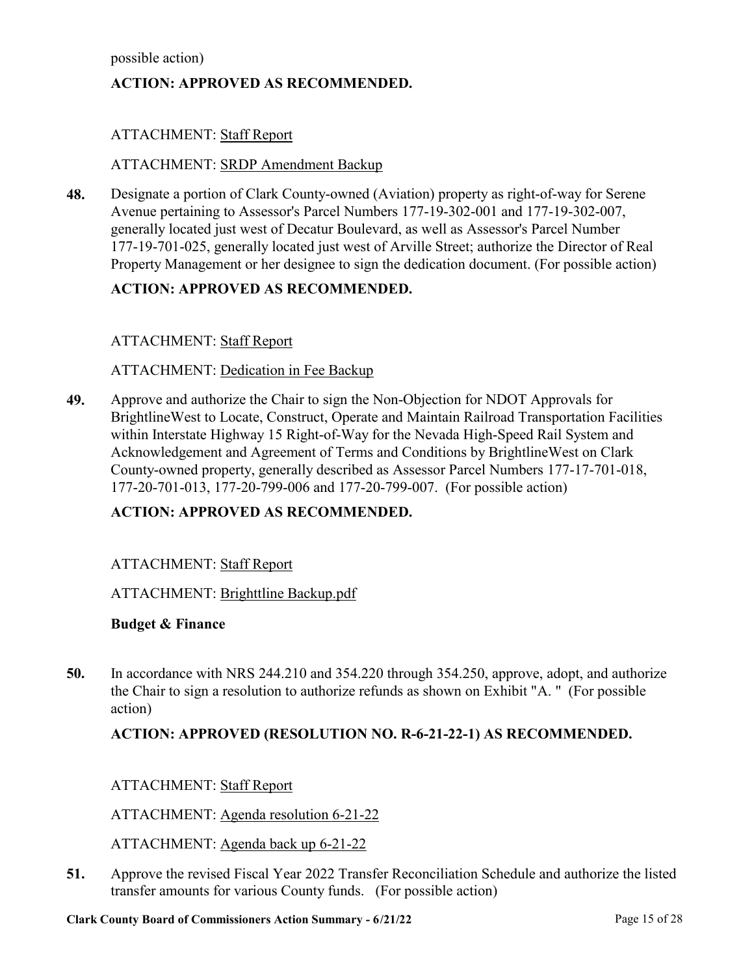[possible action\)](http://clark.legistar.com/gateway.aspx?m=l&id=/matter.aspx?key=9073)

## **ACTION: APPROVED AS RECOMMENDED.**

## ATTACHMENT: Staff Report

#### ATTACHMENT: SRDP Amendment Backup

Designate a portion of Clark County-owned (Aviation) property as right-of-way for Serene Avenue pertaining to Assessor's Parcel Numbers 177-19-302-001 and 177-19-302-007, generally located just west of Decatur Boulevard, as well as Assessor's Parcel Number [177-19-701-025, generally located just west of Arville Street; authorize the Director of Real](http://clark.legistar.com/gateway.aspx?m=l&id=/matter.aspx?key=9074)  Property Management or her designee to sign the dedication document. (For possible action) **48.**

#### **ACTION: APPROVED AS RECOMMENDED.**

#### ATTACHMENT: Staff Report

#### ATTACHMENT: Dedication in Fee Backup

Approve and authorize the Chair to sign the Non-Objection for NDOT Approvals for [BrightlineWest to Locate, Construct, Operate and Maintain Railroad Transportation Facilities](http://clark.legistar.com/gateway.aspx?m=l&id=/matter.aspx?key=9243)  within Interstate Highway 15 Right-of-Way for the Nevada High-Speed Rail System and Acknowledgement and Agreement of Terms and Conditions by BrightlineWest on Clark County-owned property, generally described as Assessor Parcel Numbers 177-17-701-018, 177-20-701-013, 177-20-799-006 and 177-20-799-007. (For possible action) **49.**

#### **ACTION: APPROVED AS RECOMMENDED.**

#### ATTACHMENT: Staff Report

#### ATTACHMENT: Brighttline Backup.pdf

#### **Budget & Finance**

[In accordance with NRS 244.210 and 354.220 through 354.250, approve, adopt, and authorize](http://clark.legistar.com/gateway.aspx?m=l&id=/matter.aspx?key=9058)  the Chair to sign a resolution to authorize refunds as shown on Exhibit "A. " (For possible action) **50.**

#### **ACTION: APPROVED (RESOLUTION NO. R-6-21-22-1) AS RECOMMENDED.**

ATTACHMENT: Staff Report

ATTACHMENT: Agenda resolution 6-21-22

ATTACHMENT: Agenda back up 6-21-22

[Approve the revised Fiscal Year 2022 Transfer Reconciliation Schedule and authorize the listed](http://clark.legistar.com/gateway.aspx?m=l&id=/matter.aspx?key=9095)  transfer amounts for various County funds. (For possible action) **51.**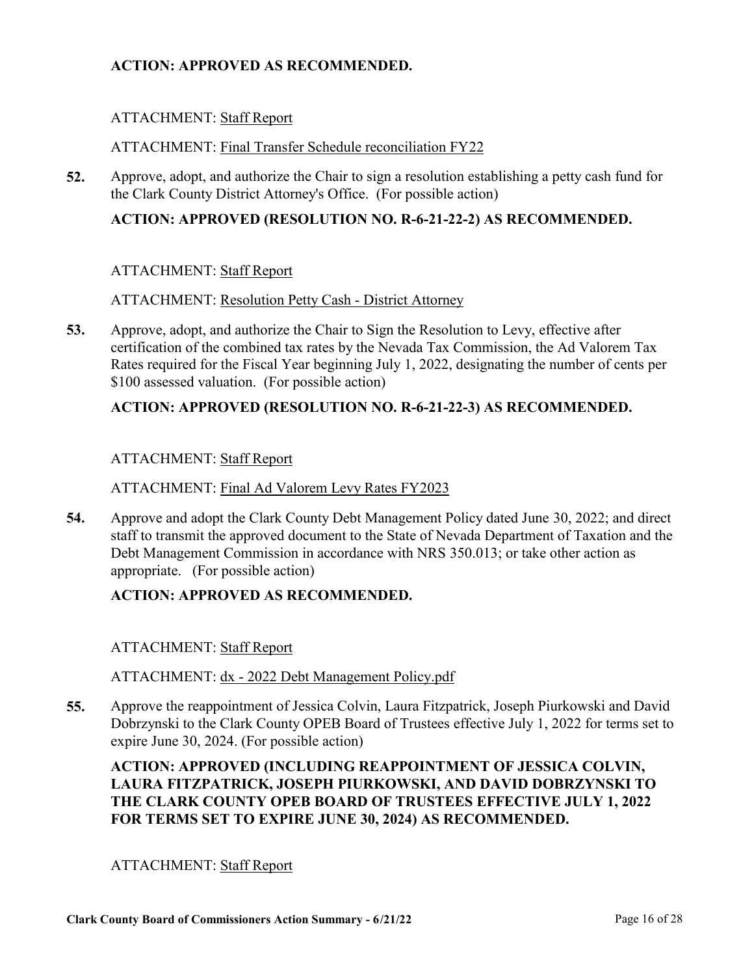## **ACTION: APPROVED AS RECOMMENDED.**

## ATTACHMENT: Staff Report

#### ATTACHMENT: Final Transfer Schedule reconciliation FY22

[Approve, adopt, and authorize the Chair to sign a resolution establishing a petty cash fund for](http://clark.legistar.com/gateway.aspx?m=l&id=/matter.aspx?key=9096)  the Clark County District Attorney's Office. (For possible action) **52.**

## **ACTION: APPROVED (RESOLUTION NO. R-6-21-22-2) AS RECOMMENDED.**

#### ATTACHMENT: Staff Report

#### ATTACHMENT: Resolution Petty Cash - District Attorney

Approve, adopt, and authorize the Chair to Sign the Resolution to Levy, effective after certification of the combined tax rates by the Nevada Tax Commission, the Ad Valorem Tax [Rates required for the Fiscal Year beginning July 1, 2022, designating the number of cents per](http://clark.legistar.com/gateway.aspx?m=l&id=/matter.aspx?key=9097)  \$100 assessed valuation. (For possible action) **53.**

## **ACTION: APPROVED (RESOLUTION NO. R-6-21-22-3) AS RECOMMENDED.**

#### ATTACHMENT: Staff Report

ATTACHMENT: Final Ad Valorem Levy Rates FY2023

Approve and adopt the Clark County Debt Management Policy dated June 30, 2022; and direct [staff to transmit the approved document to the State of Nevada Department of Taxation and the](http://clark.legistar.com/gateway.aspx?m=l&id=/matter.aspx?key=9098)  Debt Management Commission in accordance with NRS 350.013; or take other action as appropriate. (For possible action) **54.**

#### **ACTION: APPROVED AS RECOMMENDED.**

ATTACHMENT: Staff Report

ATTACHMENT: dx - 2022 Debt Management Policy.pdf

Approve the reappointment of Jessica Colvin, Laura Fitzpatrick, Joseph Piurkowski and David [Dobrzynski to the Clark County OPEB Board of Trustees effective July 1, 2022 for terms set to](http://clark.legistar.com/gateway.aspx?m=l&id=/matter.aspx?key=9099)  expire June 30, 2024. (For possible action) **55.**

## **ACTION: APPROVED (INCLUDING REAPPOINTMENT OF JESSICA COLVIN, LAURA FITZPATRICK, JOSEPH PIURKOWSKI, AND DAVID DOBRZYNSKI TO THE CLARK COUNTY OPEB BOARD OF TRUSTEES EFFECTIVE JULY 1, 2022 FOR TERMS SET TO EXPIRE JUNE 30, 2024) AS RECOMMENDED.**

#### ATTACHMENT: Staff Report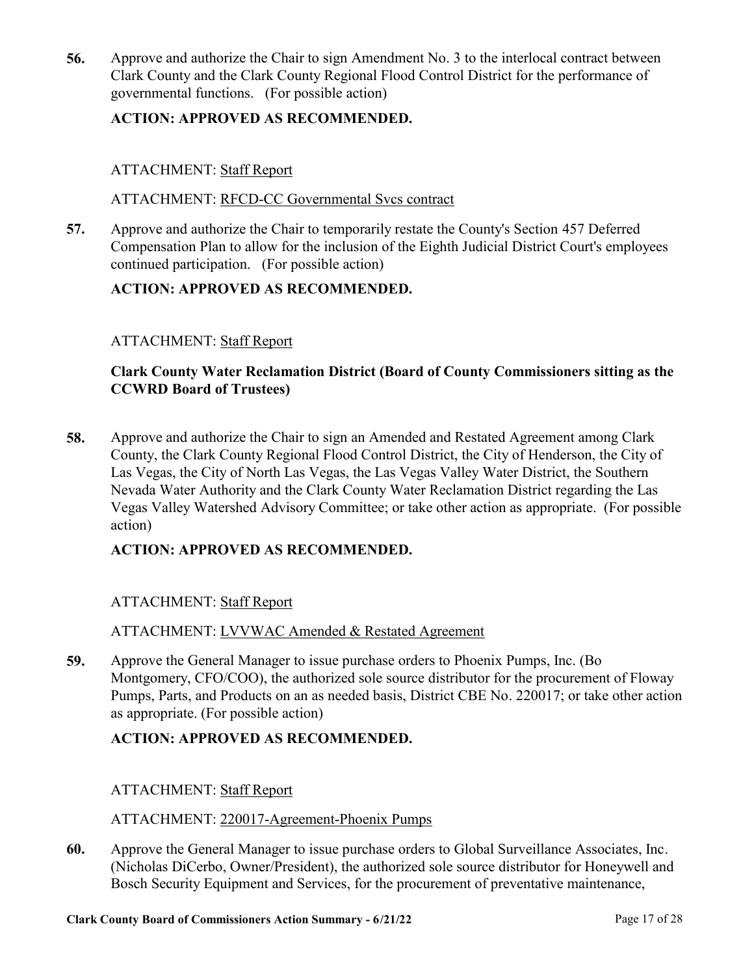[Approve and authorize the Chair to sign Amendment No. 3 to the interlocal contract between](http://clark.legistar.com/gateway.aspx?m=l&id=/matter.aspx?key=9100)  Clark County and the Clark County Regional Flood Control District for the performance of governmental functions. (For possible action) **56.**

## **ACTION: APPROVED AS RECOMMENDED.**

## ATTACHMENT: Staff Report

#### ATTACHMENT: RFCD-CC Governmental Svcs contract

Approve and authorize the Chair to temporarily restate the County's Section 457 Deferred [Compensation Plan to allow for the inclusion of the Eighth Judicial District Court's employees](http://clark.legistar.com/gateway.aspx?m=l&id=/matter.aspx?key=9101)  continued participation. (For possible action) **57.**

## **ACTION: APPROVED AS RECOMMENDED.**

## ATTACHMENT: Staff Report

## **Clark County Water Reclamation District (Board of County Commissioners sitting as the CCWRD Board of Trustees)**

Approve and authorize the Chair to sign an Amended and Restated Agreement among Clark County, the Clark County Regional Flood Control District, the City of Henderson, the City of Las Vegas, the City of North Las Vegas, the Las Vegas Valley Water District, the Southern Nevada Water Authority and the Clark County Water Reclamation District regarding the Las [Vegas Valley Watershed Advisory Committee; or take other action as appropriate. \(For possible](http://clark.legistar.com/gateway.aspx?m=l&id=/matter.aspx?key=9021)  action) **58.**

## **ACTION: APPROVED AS RECOMMENDED.**

## ATTACHMENT: Staff Report

ATTACHMENT: LVVWAC Amended & Restated Agreement

Approve the General Manager to issue purchase orders to Phoenix Pumps, Inc. (Bo Montgomery, CFO/COO), the authorized sole source distributor for the procurement of Floway [Pumps, Parts, and Products on an as needed basis, District CBE No. 220017; or take other action](http://clark.legistar.com/gateway.aspx?m=l&id=/matter.aspx?key=9027)  as appropriate. (For possible action) **59.**

## **ACTION: APPROVED AS RECOMMENDED.**

## ATTACHMENT: Staff Report

#### ATTACHMENT: 220017-Agreement-Phoenix Pumps

Approve the General Manager to issue purchase orders to Global Surveillance Associates, Inc. [\(Nicholas DiCerbo, Owner/President\), the authorized sole source distributor for Honeywell and](http://clark.legistar.com/gateway.aspx?m=l&id=/matter.aspx?key=9028)  Bosch Security Equipment and Services, for the procurement of preventative maintenance, **60.**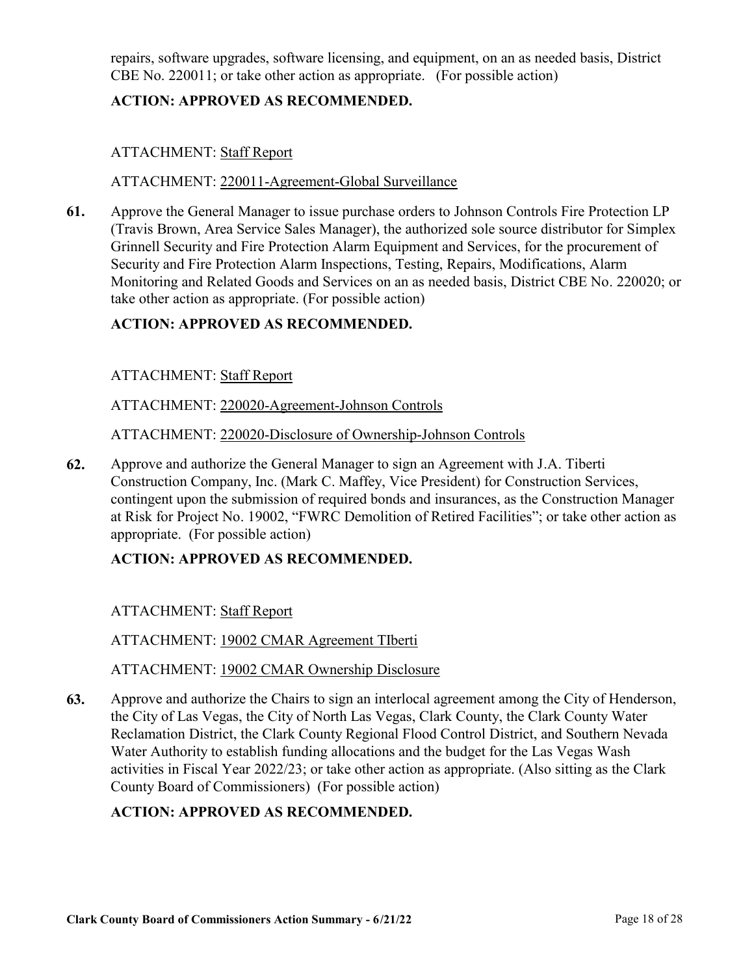[repairs, software upgrades, software licensing, and equipment, on an as needed basis, District](http://clark.legistar.com/gateway.aspx?m=l&id=/matter.aspx?key=9028)  CBE No. 220011; or take other action as appropriate. (For possible action)

## **ACTION: APPROVED AS RECOMMENDED.**

## ATTACHMENT: Staff Report

## ATTACHMENT: 220011-Agreement-Global Surveillance

Approve the General Manager to issue purchase orders to Johnson Controls Fire Protection LP (Travis Brown, Area Service Sales Manager), the authorized sole source distributor for Simplex Grinnell Security and Fire Protection Alarm Equipment and Services, for the procurement of Security and Fire Protection Alarm Inspections, Testing, Repairs, Modifications, Alarm [Monitoring and Related Goods and Services on an as needed basis, District CBE No. 220020; or](http://clark.legistar.com/gateway.aspx?m=l&id=/matter.aspx?key=9029)  take other action as appropriate. (For possible action) **61.**

## **ACTION: APPROVED AS RECOMMENDED.**

## ATTACHMENT: Staff Report

## ATTACHMENT: 220020-Agreement-Johnson Controls

## ATTACHMENT: 220020-Disclosure of Ownership-Johnson Controls

Approve and authorize the General Manager to sign an Agreement with J.A. Tiberti Construction Company, Inc. (Mark C. Maffey, Vice President) for Construction Services, contingent upon the submission of required bonds and insurances, as the Construction Manager [at Risk for Project No. 19002, "FWRC Demolition of Retired Facilities"; or take other action as](http://clark.legistar.com/gateway.aspx?m=l&id=/matter.aspx?key=9051)  appropriate. (For possible action) **62.**

## **ACTION: APPROVED AS RECOMMENDED.**

ATTACHMENT: Staff Report

ATTACHMENT: 19002 CMAR Agreement TIberti

ATTACHMENT: 19002 CMAR Ownership Disclosure

[Approve and authorize the Chairs to sign an interlocal agreement among the City of Henderson,](http://clark.legistar.com/gateway.aspx?m=l&id=/matter.aspx?key=9055)  the City of Las Vegas, the City of North Las Vegas, Clark County, the Clark County Water Reclamation District, the Clark County Regional Flood Control District, and Southern Nevada Water Authority to establish funding allocations and the budget for the Las Vegas Wash activities in Fiscal Year 2022/23; or take other action as appropriate. (Also sitting as the Clark County Board of Commissioners) (For possible action) **63.**

## **ACTION: APPROVED AS RECOMMENDED.**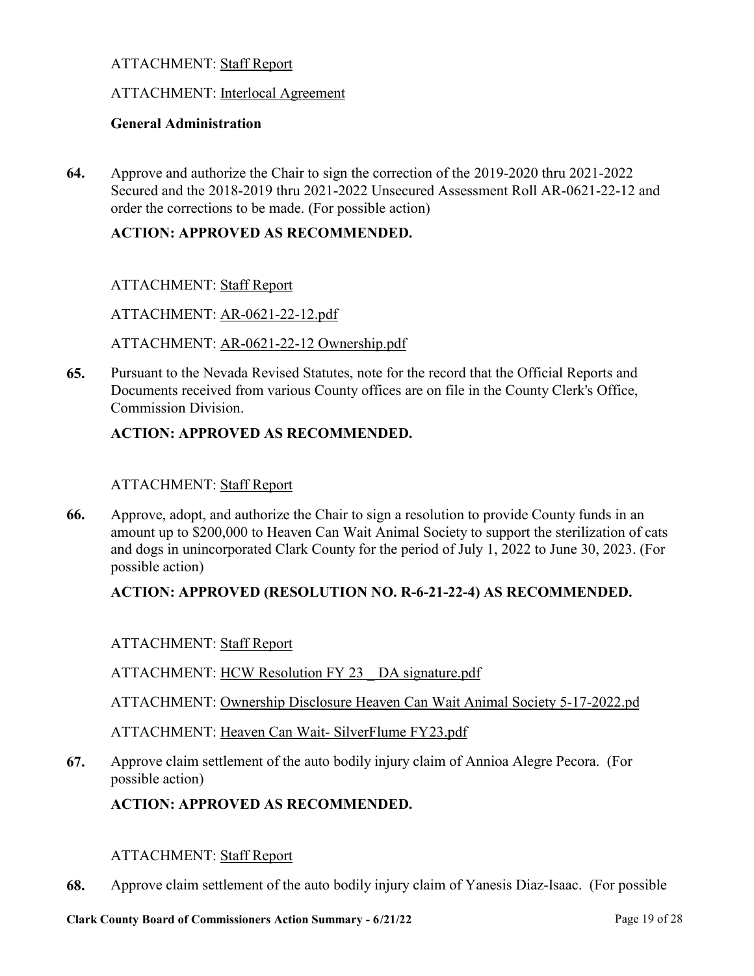## ATTACHMENT: Staff Report

#### ATTACHMENT: Interlocal Agreement

#### **General Administration**

Approve and authorize the Chair to sign the correction of the 2019-2020 thru 2021-2022 [Secured and the 2018-2019 thru 2021-2022 Unsecured Assessment Roll AR-0621-22-12 and](http://clark.legistar.com/gateway.aspx?m=l&id=/matter.aspx?key=9030)  order the corrections to be made. (For possible action) **64.**

## **ACTION: APPROVED AS RECOMMENDED.**

#### ATTACHMENT: Staff Report

ATTACHMENT: AR-0621-22-12.pdf

ATTACHMENT: AR-0621-22-12 Ownership.pdf

Pursuant to the Nevada Revised Statutes, note for the record that the Official Reports and [Documents received from various County offices are on file in the County Clerk's Office,](http://clark.legistar.com/gateway.aspx?m=l&id=/matter.aspx?key=9156)  Commission Division. **65.**

#### **ACTION: APPROVED AS RECOMMENDED.**

#### ATTACHMENT: Staff Report

Approve, adopt, and authorize the Chair to sign a resolution to provide County funds in an [amount up to \\$200,000 to Heaven Can Wait Animal Society to support the sterilization of cats](http://clark.legistar.com/gateway.aspx?m=l&id=/matter.aspx?key=9064)  and dogs in unincorporated Clark County for the period of July 1, 2022 to June 30, 2023. (For possible action) **66.**

#### **ACTION: APPROVED (RESOLUTION NO. R-6-21-22-4) AS RECOMMENDED.**

#### ATTACHMENT: Staff Report

ATTACHMENT: HCW Resolution FY 23 \_ DA signature.pdf

ATTACHMENT: Ownership Disclosure Heaven Can Wait Animal Society 5-17-2022.pdf

ATTACHMENT: Heaven Can Wait- SilverFlume FY23.pdf

[Approve claim settlement of the auto bodily injury claim of Annioa Alegre Pecora. \(For](http://clark.legistar.com/gateway.aspx?m=l&id=/matter.aspx?key=9086)  possible action) **67.**

#### **ACTION: APPROVED AS RECOMMENDED.**

#### ATTACHMENT: Staff Report

**68.** [Approve claim settlement of the auto bodily injury claim of Yanesis Diaz-Isaac. \(For possible](http://clark.legistar.com/gateway.aspx?m=l&id=/matter.aspx?key=9092)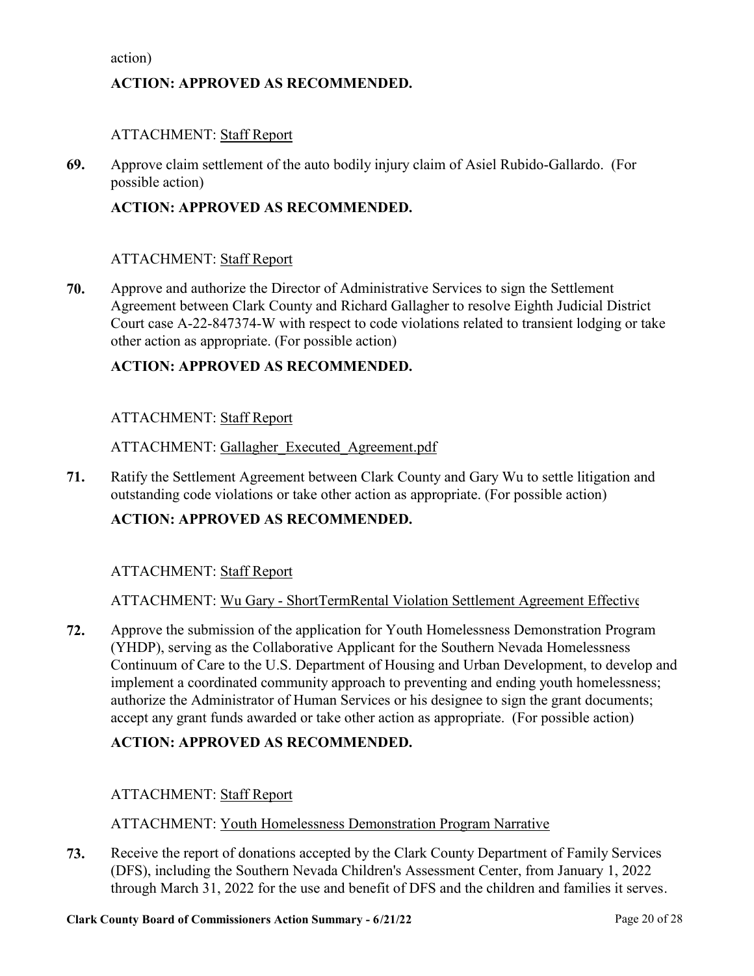[action\)](http://clark.legistar.com/gateway.aspx?m=l&id=/matter.aspx?key=9092)

## **ACTION: APPROVED AS RECOMMENDED.**

## ATTACHMENT: Staff Report

[Approve claim settlement of the auto bodily injury claim of Asiel Rubido-Gallardo. \(For](http://clark.legistar.com/gateway.aspx?m=l&id=/matter.aspx?key=9094)  possible action) **69.**

## **ACTION: APPROVED AS RECOMMENDED.**

## ATTACHMENT: Staff Report

Approve and authorize the Director of Administrative Services to sign the Settlement Agreement between Clark County and Richard Gallagher to resolve Eighth Judicial District [Court case A-22-847374-W with respect to code violations related to transient lodging or take](http://clark.legistar.com/gateway.aspx?m=l&id=/matter.aspx?key=9227)  other action as appropriate. (For possible action) **70.**

## **ACTION: APPROVED AS RECOMMENDED.**

#### ATTACHMENT: Staff Report

#### ATTACHMENT: Gallagher\_Executed\_Agreement.pdf

[Ratify the Settlement Agreement between Clark County and Gary Wu to settle litigation and](http://clark.legistar.com/gateway.aspx?m=l&id=/matter.aspx?key=9228)  outstanding code violations or take other action as appropriate. (For possible action) **71.**

## **ACTION: APPROVED AS RECOMMENDED.**

#### ATTACHMENT: Staff Report

#### ATTACHMENT: Wu Gary - ShortTermRental Violation Settlement Agreement Effective 0525

Approve the submission of the application for Youth Homelessness Demonstration Program (YHDP), serving as the Collaborative Applicant for the Southern Nevada Homelessness [Continuum of Care to the U.S. Department of Housing and Urban Development, to develop and](http://clark.legistar.com/gateway.aspx?m=l&id=/matter.aspx?key=9036)  implement a coordinated community approach to preventing and ending youth homelessness; authorize the Administrator of Human Services or his designee to sign the grant documents; accept any grant funds awarded or take other action as appropriate. (For possible action) **72.**

#### **ACTION: APPROVED AS RECOMMENDED.**

#### ATTACHMENT: Staff Report

#### ATTACHMENT: Youth Homelessness Demonstration Program Narrative

Receive the report of donations accepted by the Clark County Department of Family Services (DFS), including the Southern Nevada Children's Assessment Center, from January 1, 2022 [through March 31, 2022 for the use and benefit of DFS and the children and families it serves.](http://clark.legistar.com/gateway.aspx?m=l&id=/matter.aspx?key=9033)  **73.**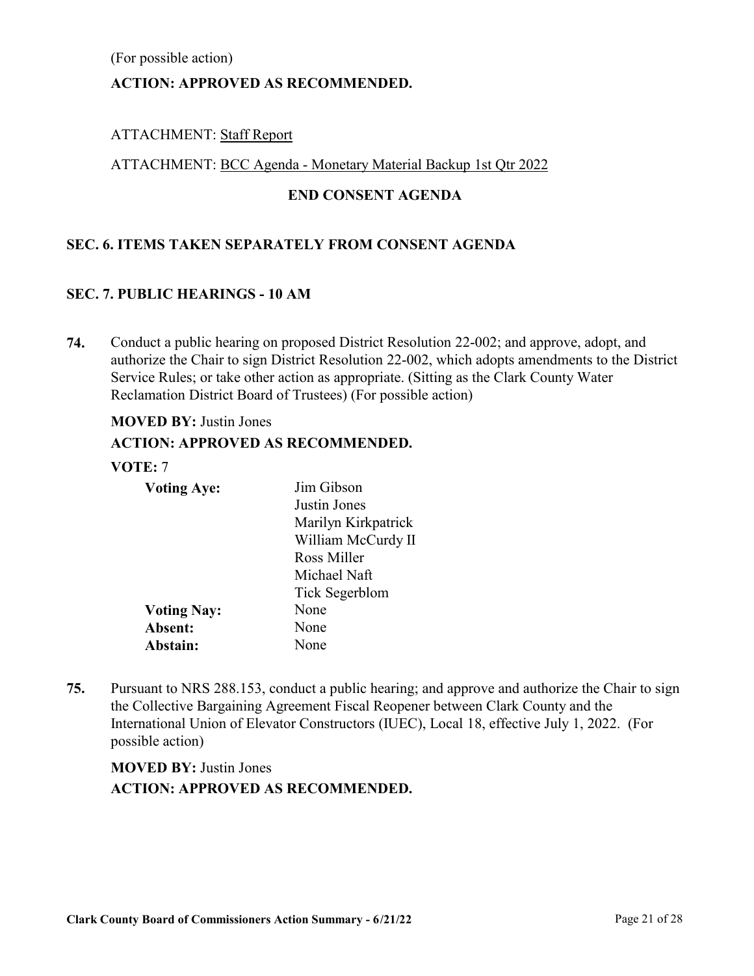[\(For possible action\)](http://clark.legistar.com/gateway.aspx?m=l&id=/matter.aspx?key=9033)

## **ACTION: APPROVED AS RECOMMENDED.**

## ATTACHMENT: Staff Report

#### ATTACHMENT: BCC Agenda - Monetary Material Backup 1st Qtr 2022

## **END CONSENT AGENDA**

## **SEC. 6. ITEMS TAKEN SEPARATELY FROM CONSENT AGENDA**

#### **SEC. 7. PUBLIC HEARINGS - 10 AM**

Conduct a public hearing on proposed District Resolution 22-002; and approve, adopt, and [authorize the Chair to sign District Resolution 22-002, which adopts amendments to the District](http://clark.legistar.com/gateway.aspx?m=l&id=/matter.aspx?key=9022)  Service Rules; or take other action as appropriate. (Sitting as the Clark County Water Reclamation District Board of Trustees) (For possible action) **74.**

#### **MOVED BY:** Justin Jones

## **ACTION: APPROVED AS RECOMMENDED.**

#### **VOTE:** 7

| <b>Voting Aye:</b> | Jim Gibson          |
|--------------------|---------------------|
|                    | Justin Jones        |
|                    | Marilyn Kirkpatrick |
|                    | William McCurdy II  |
|                    | Ross Miller         |
|                    | Michael Naft        |
|                    | Tick Segerblom      |
| <b>Voting Nay:</b> | None                |
| Absent:            | None                |
| Abstain:           | None                |

[Pursuant to NRS 288.153, conduct a public hearing; and approve and authorize the Chair to sign](http://clark.legistar.com/gateway.aspx?m=l&id=/matter.aspx?key=9062)  the Collective Bargaining Agreement Fiscal Reopener between Clark County and the International Union of Elevator Constructors (IUEC), Local 18, effective July 1, 2022. (For possible action) **75.**

## **MOVED BY:** Justin Jones **ACTION: APPROVED AS RECOMMENDED.**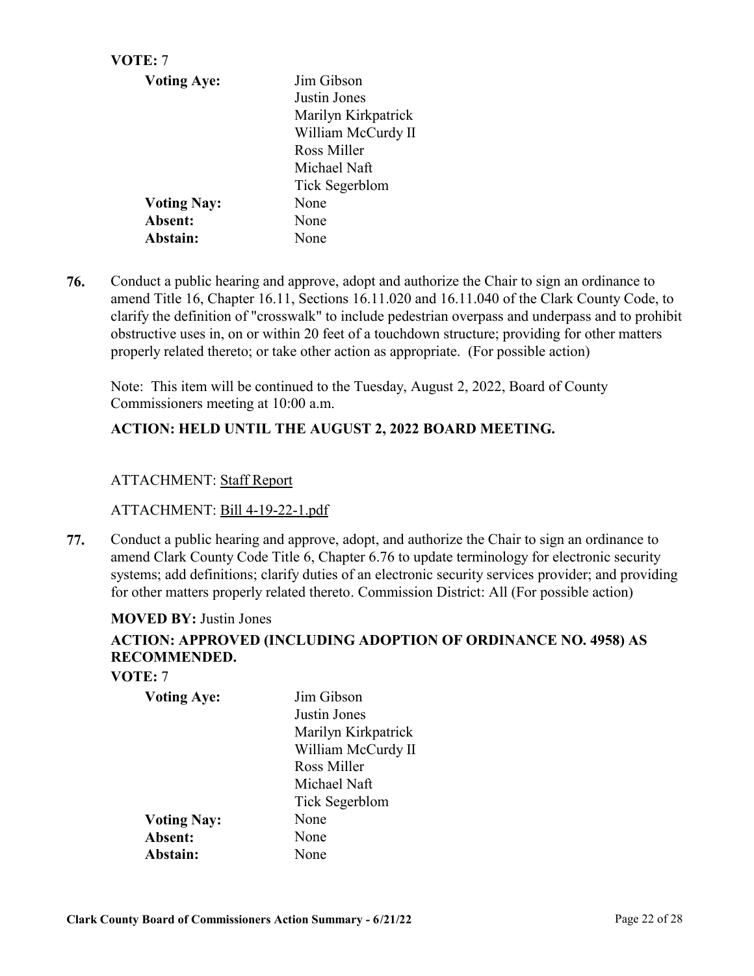| VOTE: 7            |                     |
|--------------------|---------------------|
| <b>Voting Aye:</b> | Jim Gibson          |
|                    | Justin Jones        |
|                    | Marilyn Kirkpatrick |
|                    | William McCurdy II  |
|                    | Ross Miller         |
|                    | Michael Naft        |
|                    | Tick Segerblom      |
| <b>Voting Nay:</b> | None                |
| Absent:            | None                |
| Abstain:           | None                |

Conduct a public hearing and approve, adopt and authorize the Chair to sign an ordinance to amend Title 16, Chapter 16.11, Sections 16.11.020 and 16.11.040 of the Clark County Code, to [clarify the definition of "crosswalk" to include pedestrian overpass and underpass and to prohibit](http://clark.legistar.com/gateway.aspx?m=l&id=/matter.aspx?key=9075)  obstructive uses in, on or within 20 feet of a touchdown structure; providing for other matters properly related thereto; or take other action as appropriate. (For possible action) **76.**

Note: This item will be continued to the Tuesday, August 2, 2022, Board of County Commissioners meeting at 10:00 a.m.

## **ACTION: HELD UNTIL THE AUGUST 2, 2022 BOARD MEETING.**

## ATTACHMENT: Staff Report

#### ATTACHMENT: Bill 4-19-22-1.pdf

Conduct a public hearing and approve, adopt, and authorize the Chair to sign an ordinance to amend Clark County Code Title 6, Chapter 6.76 to update terminology for electronic security [systems; add definitions; clarify duties of an electronic security services provider; and providing](http://clark.legistar.com/gateway.aspx?m=l&id=/matter.aspx?key=9089)  for other matters properly related thereto. Commission District: All (For possible action) **77.**

#### **MOVED BY:** Justin Jones

## **ACTION: APPROVED (INCLUDING ADOPTION OF ORDINANCE NO. 4958) AS RECOMMENDED.**

#### **VOTE:** 7

| <b>Voting Aye:</b> | Jim Gibson          |
|--------------------|---------------------|
|                    | Justin Jones        |
|                    | Marilyn Kirkpatrick |
|                    | William McCurdy II  |
|                    | Ross Miller         |
|                    | Michael Naft        |
|                    | Tick Segerblom      |
| <b>Voting Nay:</b> | None                |
| Absent:            | None                |
| Abstain:           | None                |
|                    |                     |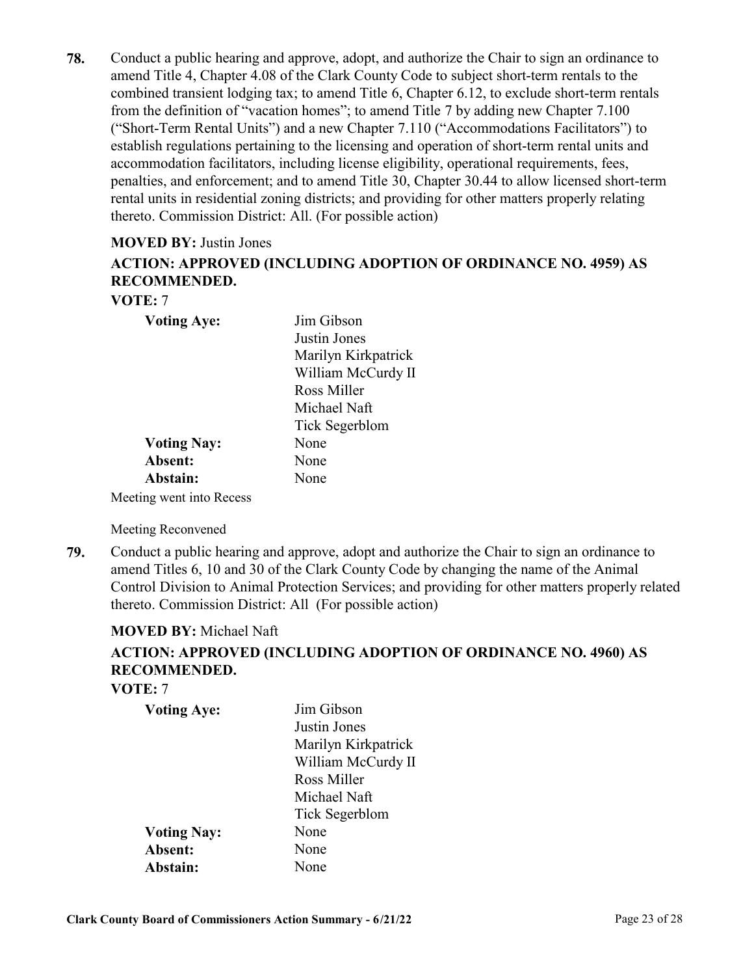Conduct a public hearing and approve, adopt, and authorize the Chair to sign an ordinance to amend Title 4, Chapter 4.08 of the Clark County Code to subject short-term rentals to the combined transient lodging tax; to amend Title 6, Chapter 6.12, to exclude short-term rentals from the definition of "vacation homes"; to amend Title 7 by adding new Chapter 7.100 ("Short-Term Rental Units") and a new Chapter 7.110 ("Accommodations Facilitators") to establish regulations pertaining to the licensing and operation of short-term rental units and accommodation facilitators, including license eligibility, operational requirements, fees, [penalties, and enforcement; and to amend Title 30, Chapter 30.44 to allow licensed short-term](http://clark.legistar.com/gateway.aspx?m=l&id=/matter.aspx?key=9090)  rental units in residential zoning districts; and providing for other matters properly relating thereto. Commission District: All. (For possible action) **78.**

#### **MOVED BY:** Justin Jones

# **ACTION: APPROVED (INCLUDING ADOPTION OF ORDINANCE NO. 4959) AS RECOMMENDED.**

## **VOTE:** 7

| <b>Voting Aye:</b>    | Jim Gibson          |
|-----------------------|---------------------|
|                       | Justin Jones        |
|                       | Marilyn Kirkpatrick |
|                       | William McCurdy II  |
|                       | Ross Miller         |
|                       | Michael Naft        |
|                       | Tick Segerblom      |
| <b>Voting Nay:</b>    | None                |
| Absent:               | None                |
| Abstain:              | None                |
| ting went into Recess |                     |

Meeting went into Recess

Meeting Reconvened

Conduct a public hearing and approve, adopt and authorize the Chair to sign an ordinance to amend Titles 6, 10 and 30 of the Clark County Code by changing the name of the Animal [Control Division to Animal Protection Services; and providing for other matters properly related](http://clark.legistar.com/gateway.aspx?m=l&id=/matter.aspx?key=9082)  thereto. Commission District: All (For possible action) **79.**

#### **MOVED BY:** Michael Naft

## **ACTION: APPROVED (INCLUDING ADOPTION OF ORDINANCE NO. 4960) AS RECOMMENDED.**

**VOTE:** 7

| <b>Voting Aye:</b> | Jim Gibson          |
|--------------------|---------------------|
|                    | Justin Jones        |
|                    | Marilyn Kirkpatrick |
|                    | William McCurdy II  |
|                    | Ross Miller         |
|                    | Michael Naft        |
|                    | Tick Segerblom      |
| <b>Voting Nay:</b> | None                |
| Absent:            | None                |
| Abstain:           | None                |
|                    |                     |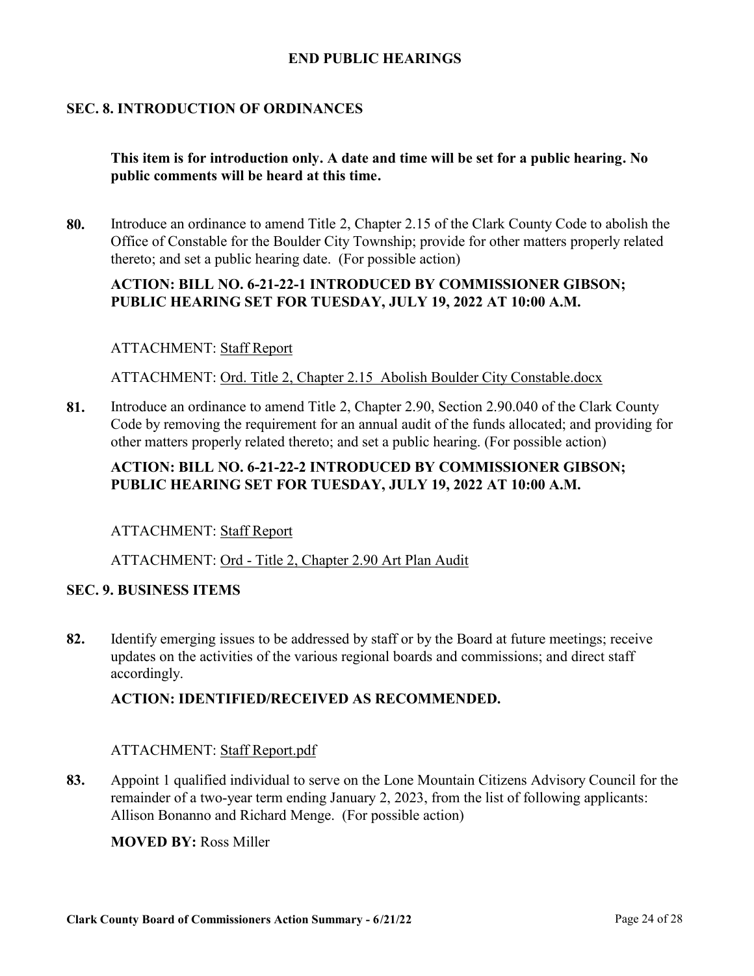### **END PUBLIC HEARINGS**

## **SEC. 8. INTRODUCTION OF ORDINANCES**

## **This item is for introduction only. A date and time will be set for a public hearing. No public comments will be heard at this time.**

[Introduce an ordinance to amend Title 2, Chapter 2.15 of the Clark County Code to abolish the](http://clark.legistar.com/gateway.aspx?m=l&id=/matter.aspx?key=9103)  Office of Constable for the Boulder City Township; provide for other matters properly related thereto; and set a public hearing date. (For possible action) **80.**

## **ACTION: BILL NO. 6-21-22-1 INTRODUCED BY COMMISSIONER GIBSON; PUBLIC HEARING SET FOR TUESDAY, JULY 19, 2022 AT 10:00 A.M.**

#### ATTACHMENT: Staff Report

ATTACHMENT: Ord. Title 2, Chapter 2.15 Abolish Boulder City Constable.docx

Introduce an ordinance to amend Title 2, Chapter 2.90, Section 2.90.040 of the Clark County [Code by removing the requirement for an annual audit of the funds allocated; and providing for](http://clark.legistar.com/gateway.aspx?m=l&id=/matter.aspx?key=9066)  other matters properly related thereto; and set a public hearing. (For possible action) **81.**

## **ACTION: BILL NO. 6-21-22-2 INTRODUCED BY COMMISSIONER GIBSON; PUBLIC HEARING SET FOR TUESDAY, JULY 19, 2022 AT 10:00 A.M.**

#### ATTACHMENT: Staff Report

#### ATTACHMENT: Ord - Title 2, Chapter 2.90 Art Plan Audit

#### **SEC. 9. BUSINESS ITEMS**

[Identify emerging issues to be addressed by staff or by the Board at future meetings; receive](http://clark.legistar.com/gateway.aspx?m=l&id=/matter.aspx?key=8821)  updates on the activities of the various regional boards and commissions; and direct staff accordingly. **82.**

#### **ACTION: IDENTIFIED/RECEIVED AS RECOMMENDED.**

#### ATTACHMENT: Staff Report.pdf

[Appoint 1 qualified individual to serve on the Lone Mountain Citizens Advisory Council for the](http://clark.legistar.com/gateway.aspx?m=l&id=/matter.aspx?key=9065)  remainder of a two-year term ending January 2, 2023, from the list of following applicants: Allison Bonanno and Richard Menge. (For possible action) **83.**

#### **MOVED BY:** Ross Miller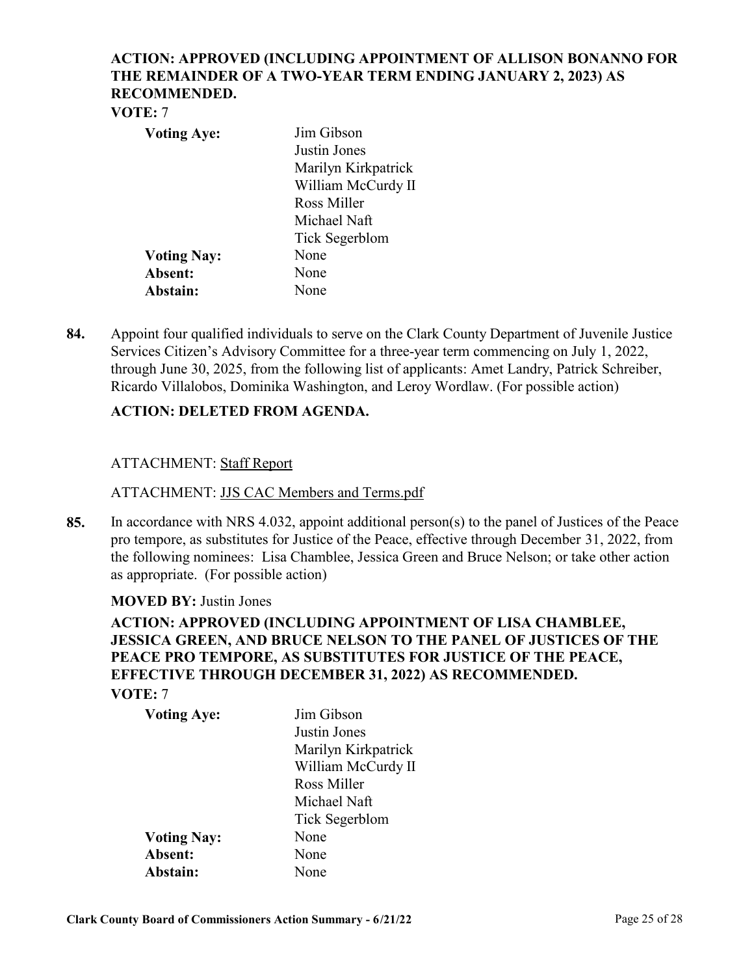## **ACTION: APPROVED (INCLUDING APPOINTMENT OF ALLISON BONANNO FOR THE REMAINDER OF A TWO-YEAR TERM ENDING JANUARY 2, 2023) AS RECOMMENDED.**

#### **VOTE:** 7

| <b>Voting Aye:</b> | Jim Gibson          |
|--------------------|---------------------|
|                    | Justin Jones        |
|                    | Marilyn Kirkpatrick |
|                    | William McCurdy II  |
|                    | Ross Miller         |
|                    | Michael Naft        |
|                    | Tick Segerblom      |
| <b>Voting Nay:</b> | None                |
| Absent:            | None                |
| Abstain:           | None                |

[Appoint four qualified individuals to serve on the Clark County Department of Juvenile Justice](http://clark.legistar.com/gateway.aspx?m=l&id=/matter.aspx?key=9091)  Services Citizen's Advisory Committee for a three-year term commencing on July 1, 2022, through June 30, 2025, from the following list of applicants: Amet Landry, Patrick Schreiber, Ricardo Villalobos, Dominika Washington, and Leroy Wordlaw. (For possible action) **84.**

## **ACTION: DELETED FROM AGENDA.**

## ATTACHMENT: Staff Report

#### ATTACHMENT: JJS CAC Members and Terms.pdf

[In accordance with NRS 4.032, appoint additional person\(s\) to the panel of Justices of the Peace](http://clark.legistar.com/gateway.aspx?m=l&id=/matter.aspx?key=9039)  pro tempore, as substitutes for Justice of the Peace, effective through December 31, 2022, from the following nominees: Lisa Chamblee, Jessica Green and Bruce Nelson; or take other action as appropriate. (For possible action) **85.**

#### **MOVED BY:** Justin Jones

## **ACTION: APPROVED (INCLUDING APPOINTMENT OF LISA CHAMBLEE, JESSICA GREEN, AND BRUCE NELSON TO THE PANEL OF JUSTICES OF THE PEACE PRO TEMPORE, AS SUBSTITUTES FOR JUSTICE OF THE PEACE, EFFECTIVE THROUGH DECEMBER 31, 2022) AS RECOMMENDED. VOTE:** 7

| <b>Voting Aye:</b> | Jim Gibson          |
|--------------------|---------------------|
|                    | Justin Jones        |
|                    | Marilyn Kirkpatrick |
|                    | William McCurdy II  |
|                    | Ross Miller         |
|                    | Michael Naft        |
|                    | Tick Segerblom      |
| <b>Voting Nay:</b> | None                |
| Absent:            | None                |
| Abstain:           | None                |
|                    |                     |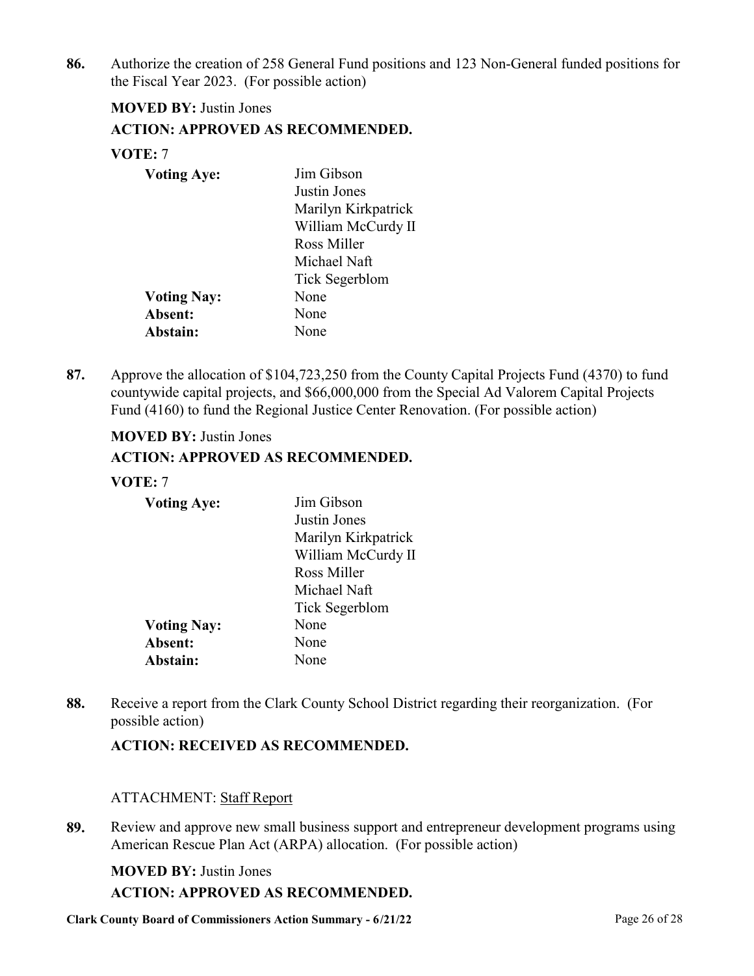[Authorize the creation of 258 General Fund positions and 123 Non-General funded positions for](http://clark.legistar.com/gateway.aspx?m=l&id=/matter.aspx?key=9102)  the Fiscal Year 2023. (For possible action) **86.**

## **MOVED BY:** Justin Jones **ACTION: APPROVED AS RECOMMENDED. VOTE:** 7

| <b>Voting Aye:</b> | Jim Gibson          |
|--------------------|---------------------|
|                    | Justin Jones        |
|                    | Marilyn Kirkpatrick |
|                    | William McCurdy II  |
|                    | Ross Miller         |
|                    | Michael Naft        |
|                    | Tick Segerblom      |
| <b>Voting Nay:</b> | None                |
| Absent:            | None                |
| Abstain:           | None                |

[Approve the allocation of \\$104,723,250 from the County Capital Projects Fund \(4370\) to fund](http://clark.legistar.com/gateway.aspx?m=l&id=/matter.aspx?key=9230)  countywide capital projects, and \$66,000,000 from the Special Ad Valorem Capital Projects Fund (4160) to fund the Regional Justice Center Renovation. (For possible action) **87.**

## **MOVED BY:** Justin Jones

## **ACTION: APPROVED AS RECOMMENDED.**

#### **VOTE:** 7

| <b>Voting Aye:</b> | Jim Gibson          |
|--------------------|---------------------|
|                    | Justin Jones        |
|                    | Marilyn Kirkpatrick |
|                    | William McCurdy II  |
|                    | Ross Miller         |
|                    | Michael Naft        |
|                    | Tick Segerblom      |
| <b>Voting Nay:</b> | None                |
| Absent:            | None                |
| Abstain:           | None                |

[Receive a report from the Clark County School District regarding their reorganization. \(For](http://clark.legistar.com/gateway.aspx?m=l&id=/matter.aspx?key=9076)  possible action) **88.**

## **ACTION: RECEIVED AS RECOMMENDED.**

#### ATTACHMENT: Staff Report

[Review and approve new small business support and entrepreneur development programs using](http://clark.legistar.com/gateway.aspx?m=l&id=/matter.aspx?key=9229)  American Rescue Plan Act (ARPA) allocation. (For possible action) **89.**

#### **MOVED BY:** Justin Jones

#### **ACTION: APPROVED AS RECOMMENDED.**

**Clark County Board of Commissioners Action Summary - 6/21/22** Page 26 of 28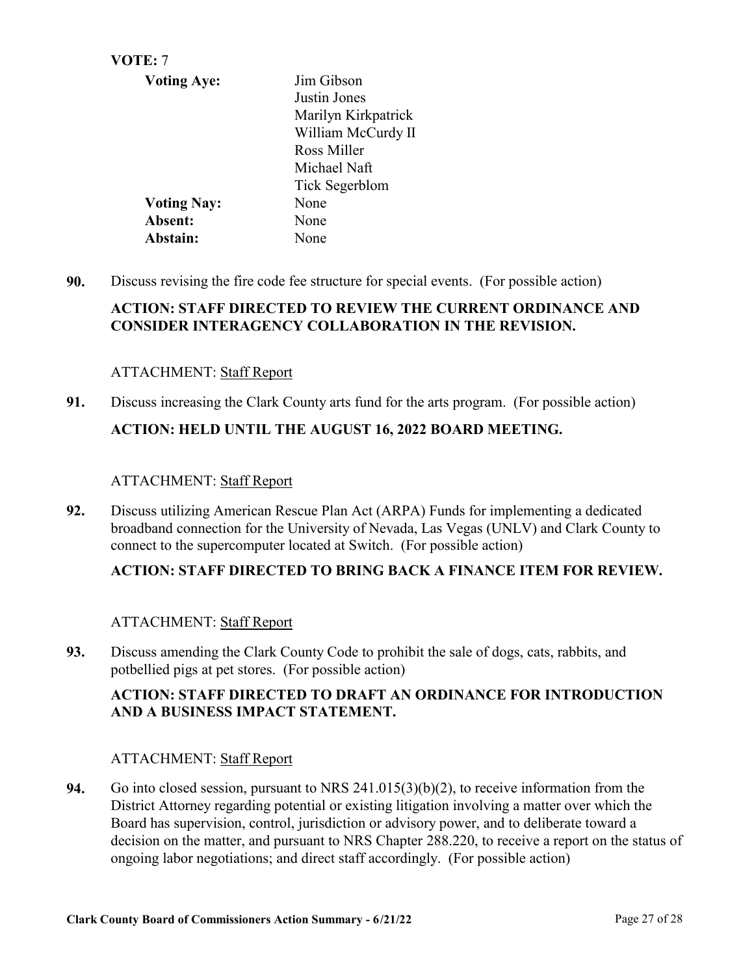| VOTE: 7            |                     |
|--------------------|---------------------|
| <b>Voting Aye:</b> | Jim Gibson          |
|                    | Justin Jones        |
|                    | Marilyn Kirkpatrick |
|                    | William McCurdy II  |
|                    | Ross Miller         |
|                    | Michael Naft        |
|                    | Tick Segerblom      |
| <b>Voting Nay:</b> | None                |
| Absent:            | None                |
| Abstain:           | None                |

**90.** [Discuss revising the fire code fee structure for special events. \(For possible action\)](http://clark.legistar.com/gateway.aspx?m=l&id=/matter.aspx?key=9063)

## **ACTION: STAFF DIRECTED TO REVIEW THE CURRENT ORDINANCE AND CONSIDER INTERAGENCY COLLABORATION IN THE REVISION.**

## ATTACHMENT: Staff Report

**91.** [Discuss increasing the Clark County arts fund for the arts program. \(For possible action\)](http://clark.legistar.com/gateway.aspx?m=l&id=/matter.aspx?key=9068) **ACTION: HELD UNTIL THE AUGUST 16, 2022 BOARD MEETING.**

## ATTACHMENT: Staff Report

Discuss utilizing American Rescue Plan Act (ARPA) Funds for implementing a dedicated [broadband connection for the University of Nevada, Las Vegas \(UNLV\) and Clark County to](http://clark.legistar.com/gateway.aspx?m=l&id=/matter.aspx?key=9241)  connect to the supercomputer located at Switch. (For possible action) **92.**

## **ACTION: STAFF DIRECTED TO BRING BACK A FINANCE ITEM FOR REVIEW.**

## ATTACHMENT: Staff Report

[Discuss amending the Clark County Code to prohibit the sale of dogs, cats, rabbits, and](http://clark.legistar.com/gateway.aspx?m=l&id=/matter.aspx?key=9244)  potbellied pigs at pet stores. (For possible action) **93.**

## **ACTION: STAFF DIRECTED TO DRAFT AN ORDINANCE FOR INTRODUCTION AND A BUSINESS IMPACT STATEMENT.**

## ATTACHMENT: Staff Report

Go into closed session, pursuant to NRS 241.015(3)(b)(2), to receive information from the District Attorney regarding potential or existing litigation involving a matter over which the Board has supervision, control, jurisdiction or advisory power, and to deliberate toward a [decision on the matter, and pursuant to NRS Chapter 288.220, to receive a report on the status of](http://clark.legistar.com/gateway.aspx?m=l&id=/matter.aspx?key=8822)  ongoing labor negotiations; and direct staff accordingly. (For possible action) **94.**